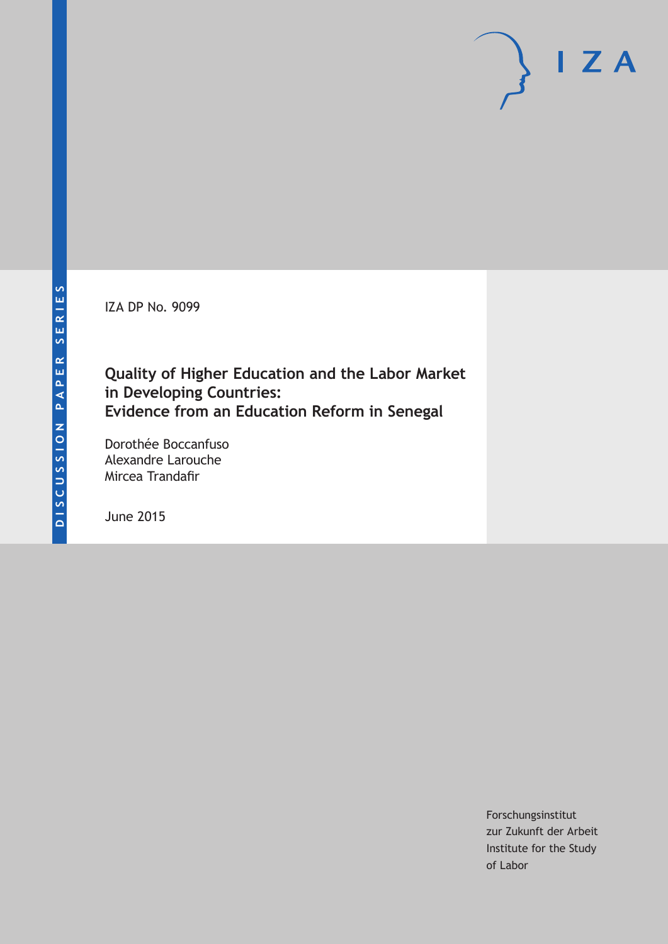IZA DP No. 9099

## **Quality of Higher Education and the Labor Market in Developing Countries: Evidence from an Education Reform in Senegal**

Dorothée Boccanfuso Alexandre Larouche Mircea Trandafir

June 2015

Forschungsinstitut zur Zukunft der Arbeit Institute for the Study of Labor

 $I Z A$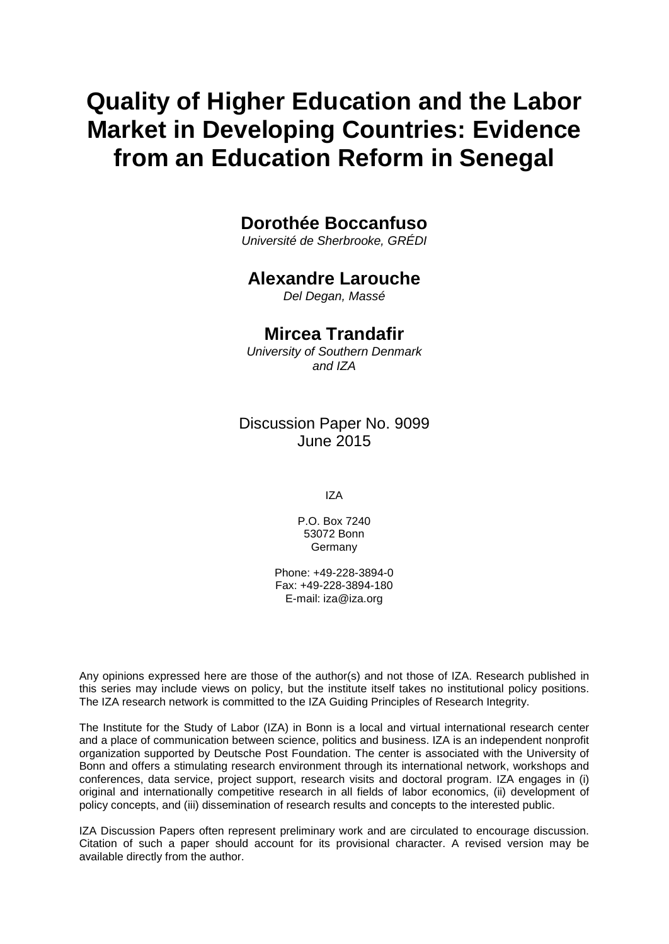# **Quality of Higher Education and the Labor Market in Developing Countries: Evidence from an Education Reform in Senegal**

### **Dorothée Boccanfuso**

*Université de Sherbrooke, GRÉDI*

#### **Alexandre Larouche**

*Del Degan, Massé*

#### **Mircea Trandafir**

*University of Southern Denmark and IZA*

#### Discussion Paper No. 9099 June 2015

IZA

P.O. Box 7240 53072 Bonn Germany

Phone: +49-228-3894-0 Fax: +49-228-3894-180 E-mail: iza@iza.org

Any opinions expressed here are those of the author(s) and not those of IZA. Research published in this series may include views on policy, but the institute itself takes no institutional policy positions. The IZA research network is committed to the IZA Guiding Principles of Research Integrity.

The Institute for the Study of Labor (IZA) in Bonn is a local and virtual international research center and a place of communication between science, politics and business. IZA is an independent nonprofit organization supported by Deutsche Post Foundation. The center is associated with the University of Bonn and offers a stimulating research environment through its international network, workshops and conferences, data service, project support, research visits and doctoral program. IZA engages in (i) original and internationally competitive research in all fields of labor economics, (ii) development of policy concepts, and (iii) dissemination of research results and concepts to the interested public.

<span id="page-1-0"></span>IZA Discussion Papers often represent preliminary work and are circulated to encourage discussion. Citation of such a paper should account for its provisional character. A revised version may be available directly from the author.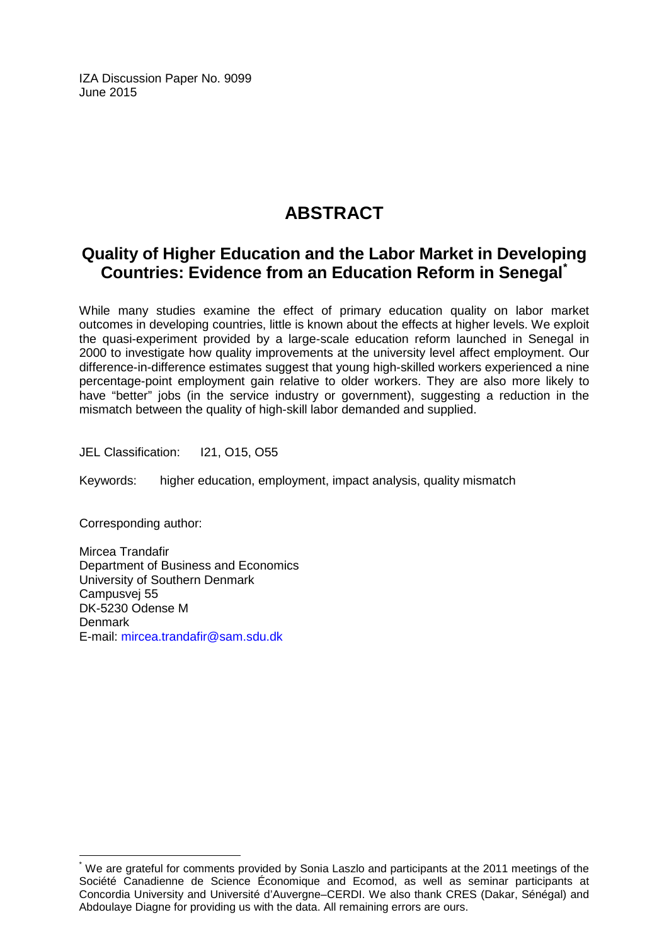IZA Discussion Paper No. 9099 June 2015

# **ABSTRACT**

### **Quality of Higher Education and the Labor Market in Developing Countries: Evidence from an Education Reform in Senegal[\\*](#page-1-0)**

While many studies examine the effect of primary education quality on labor market outcomes in developing countries, little is known about the effects at higher levels. We exploit the quasi-experiment provided by a large-scale education reform launched in Senegal in 2000 to investigate how quality improvements at the university level affect employment. Our difference-in-difference estimates suggest that young high-skilled workers experienced a nine percentage-point employment gain relative to older workers. They are also more likely to have "better" jobs (in the service industry or government), suggesting a reduction in the mismatch between the quality of high-skill labor demanded and supplied.

JEL Classification: I21, O15, O55

Keywords: higher education, employment, impact analysis, quality mismatch

Corresponding author:

Mircea Trandafir Department of Business and Economics University of Southern Denmark Campusvej 55 DK-5230 Odense M **Denmark** E-mail: [mircea.trandafir@sam.sdu.dk](mailto:mircea.trandafir@sam.sdu.dk)

We are grateful for comments provided by Sonia Laszlo and participants at the 2011 meetings of the Société Canadienne de Science Économique and Ecomod, as well as seminar participants at Concordia University and Université d'Auvergne–CERDI. We also thank CRES (Dakar, Sénégal) and Abdoulaye Diagne for providing us with the data. All remaining errors are ours.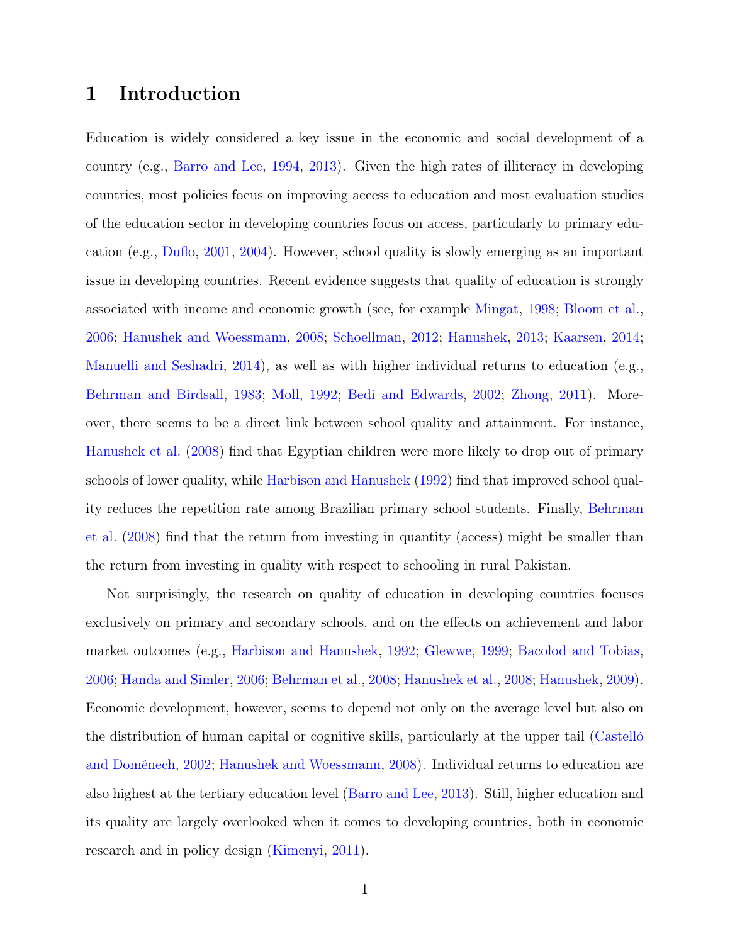### 1 Introduction

Education is widely considered a key issue in the economic and social development of a country (e.g., [Barro and Lee,](#page-30-0) [1994,](#page-30-0) [2013\)](#page-30-1). Given the high rates of illiteracy in developing countries, most policies focus on improving access to education and most evaluation studies of the education sector in developing countries focus on access, particularly to primary education (e.g., [Duflo,](#page-31-0) [2001,](#page-31-0) [2004\)](#page-31-1). However, school quality is slowly emerging as an important issue in developing countries. Recent evidence suggests that quality of education is strongly associated with income and economic growth (see, for example [Mingat,](#page-34-0) [1998;](#page-34-0) [Bloom et al.,](#page-31-2) [2006;](#page-31-2) [Hanushek and Woessmann,](#page-33-0) [2008;](#page-33-0) [Schoellman,](#page-35-0) [2012;](#page-35-0) [Hanushek,](#page-32-0) [2013;](#page-32-0) [Kaarsen,](#page-33-1) [2014;](#page-33-1) [Manuelli and Seshadri,](#page-33-2) [2014\)](#page-33-2), as well as with higher individual returns to education (e.g., [Behrman and Birdsall,](#page-30-2) [1983;](#page-30-2) [Moll,](#page-34-1) [1992;](#page-34-1) [Bedi and Edwards,](#page-30-3) [2002;](#page-30-3) [Zhong,](#page-35-1) [2011\)](#page-35-1). Moreover, there seems to be a direct link between school quality and attainment. For instance, [Hanushek et al.](#page-32-1) [\(2008\)](#page-32-1) find that Egyptian children were more likely to drop out of primary schools of lower quality, while [Harbison and Hanushek](#page-33-3) [\(1992\)](#page-33-3) find that improved school quality reduces the repetition rate among Brazilian primary school students. Finally, [Behrman](#page-30-4) [et al.](#page-30-4) [\(2008\)](#page-30-4) find that the return from investing in quantity (access) might be smaller than the return from investing in quality with respect to schooling in rural Pakistan.

Not surprisingly, the research on quality of education in developing countries focuses exclusively on primary and secondary schools, and on the effects on achievement and labor market outcomes (e.g., [Harbison and Hanushek,](#page-33-3) [1992;](#page-33-3) [Glewwe,](#page-32-2) [1999;](#page-32-2) [Bacolod and Tobias,](#page-30-5) [2006;](#page-30-5) [Handa and Simler,](#page-32-3) [2006;](#page-32-3) [Behrman et al.,](#page-30-4) [2008;](#page-30-4) [Hanushek et al.,](#page-32-1) [2008;](#page-32-1) [Hanushek,](#page-32-4) [2009\)](#page-32-4). Economic development, however, seems to depend not only on the average level but also on the distribution of human capital or cognitive skills, particularly at the upper tail [\(Castelló](#page-31-3) [and Doménech,](#page-31-3) [2002;](#page-31-3) [Hanushek and Woessmann,](#page-33-0) [2008\)](#page-33-0). Individual returns to education are also highest at the tertiary education level [\(Barro and Lee,](#page-30-1) [2013\)](#page-30-1). Still, higher education and its quality are largely overlooked when it comes to developing countries, both in economic research and in policy design [\(Kimenyi,](#page-33-4) [2011\)](#page-33-4).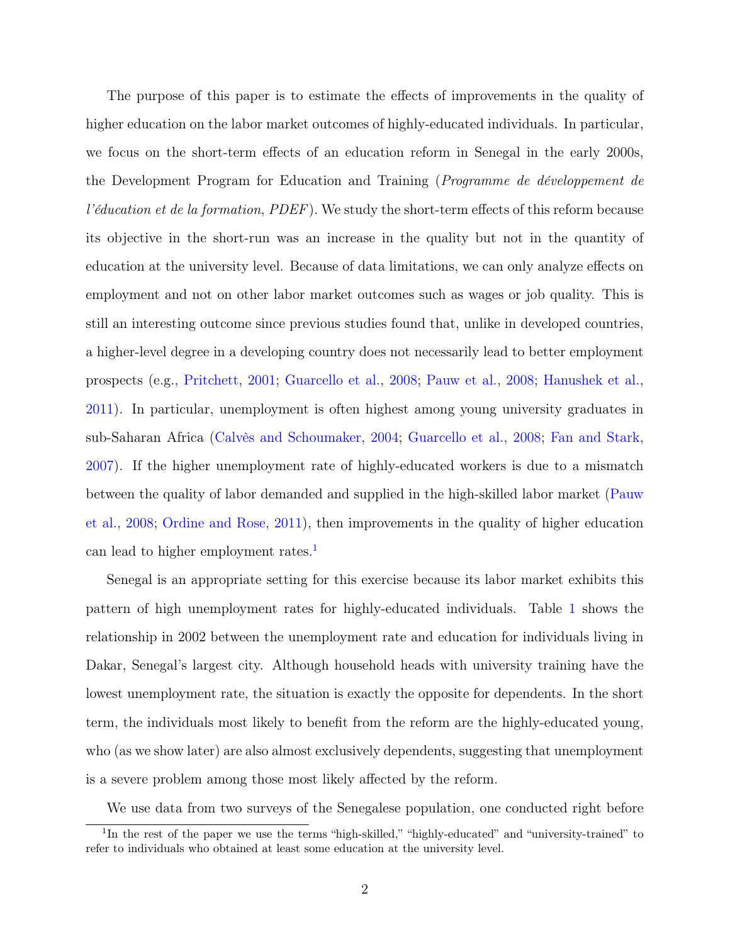The purpose of this paper is to estimate the effects of improvements in the quality of higher education on the labor market outcomes of highly-educated individuals. In particular, we focus on the short-term effects of an education reform in Senegal in the early 2000s, the Development Program for Education and Training (Programme de développement de l'éducation et de la formation, PDEF). We study the short-term effects of this reform because its objective in the short-run was an increase in the quality but not in the quantity of education at the university level. Because of data limitations, we can only analyze effects on employment and not on other labor market outcomes such as wages or job quality. This is still an interesting outcome since previous studies found that, unlike in developed countries, a higher-level degree in a developing country does not necessarily lead to better employment prospects (e.g., [Pritchett,](#page-34-2) [2001;](#page-34-2) [Guarcello et al.,](#page-32-5) [2008;](#page-32-5) [Pauw et al.,](#page-34-3) [2008;](#page-34-3) [Hanushek et al.,](#page-33-5) [2011\)](#page-33-5). In particular, unemployment is often highest among young university graduates in sub-Saharan Africa [\(Calvès and Schoumaker,](#page-31-4) [2004;](#page-31-4) [Guarcello et al.,](#page-32-5) [2008;](#page-32-5) [Fan and Stark,](#page-32-6) [2007\)](#page-32-6). If the higher unemployment rate of highly-educated workers is due to a mismatch between the quality of labor demanded and supplied in the high-skilled labor market [\(Pauw](#page-34-3) [et al.,](#page-34-3) [2008;](#page-34-3) [Ordine and Rose,](#page-34-4) [2011\)](#page-34-4), then improvements in the quality of higher education can lead to higher employment rates.<sup>[1](#page-4-0)</sup>

Senegal is an appropriate setting for this exercise because its labor market exhibits this pattern of high unemployment rates for highly-educated individuals. Table [1](#page-37-0) shows the relationship in 2002 between the unemployment rate and education for individuals living in Dakar, Senegal's largest city. Although household heads with university training have the lowest unemployment rate, the situation is exactly the opposite for dependents. In the short term, the individuals most likely to benefit from the reform are the highly-educated young, who (as we show later) are also almost exclusively dependents, suggesting that unemployment is a severe problem among those most likely affected by the reform.

<span id="page-4-0"></span>We use data from two surveys of the Senegalese population, one conducted right before

<sup>&</sup>lt;sup>1</sup>In the rest of the paper we use the terms "high-skilled," "highly-educated" and "university-trained" to refer to individuals who obtained at least some education at the university level.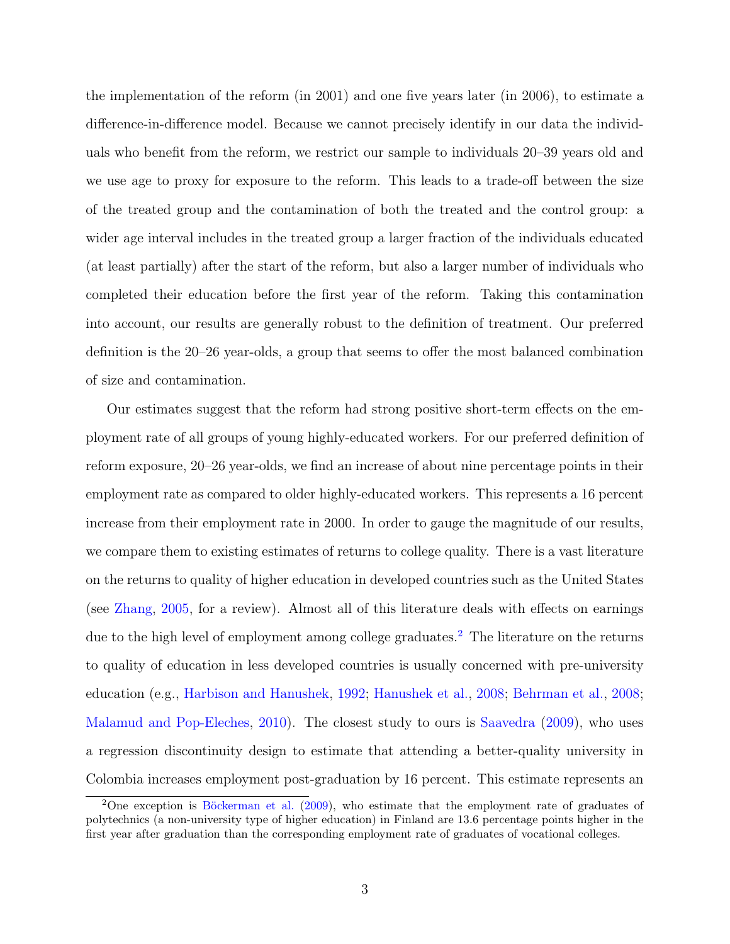the implementation of the reform (in 2001) and one five years later (in 2006), to estimate a difference-in-difference model. Because we cannot precisely identify in our data the individuals who benefit from the reform, we restrict our sample to individuals 20–39 years old and we use age to proxy for exposure to the reform. This leads to a trade-off between the size of the treated group and the contamination of both the treated and the control group: a wider age interval includes in the treated group a larger fraction of the individuals educated (at least partially) after the start of the reform, but also a larger number of individuals who completed their education before the first year of the reform. Taking this contamination into account, our results are generally robust to the definition of treatment. Our preferred definition is the 20–26 year-olds, a group that seems to offer the most balanced combination of size and contamination.

Our estimates suggest that the reform had strong positive short-term effects on the employment rate of all groups of young highly-educated workers. For our preferred definition of reform exposure, 20–26 year-olds, we find an increase of about nine percentage points in their employment rate as compared to older highly-educated workers. This represents a 16 percent increase from their employment rate in 2000. In order to gauge the magnitude of our results, we compare them to existing estimates of returns to college quality. There is a vast literature on the returns to quality of higher education in developed countries such as the United States (see [Zhang,](#page-35-2) [2005,](#page-35-2) for a review). Almost all of this literature deals with effects on earnings due to the high level of employment among college graduates.<sup>[2](#page-5-0)</sup> The literature on the returns to quality of education in less developed countries is usually concerned with pre-university education (e.g., [Harbison and Hanushek,](#page-33-3) [1992;](#page-33-3) [Hanushek et al.,](#page-32-1) [2008;](#page-32-1) [Behrman et al.,](#page-30-4) [2008;](#page-30-4) [Malamud and Pop-Eleches,](#page-33-6) [2010\)](#page-33-6). The closest study to ours is [Saavedra](#page-34-5) [\(2009\)](#page-34-5), who uses a regression discontinuity design to estimate that attending a better-quality university in Colombia increases employment post-graduation by 16 percent. This estimate represents an

<span id="page-5-0"></span><sup>2</sup>One exception is [Böckerman et al.](#page-31-5) [\(2009\)](#page-31-5), who estimate that the employment rate of graduates of polytechnics (a non-university type of higher education) in Finland are 13.6 percentage points higher in the first year after graduation than the corresponding employment rate of graduates of vocational colleges.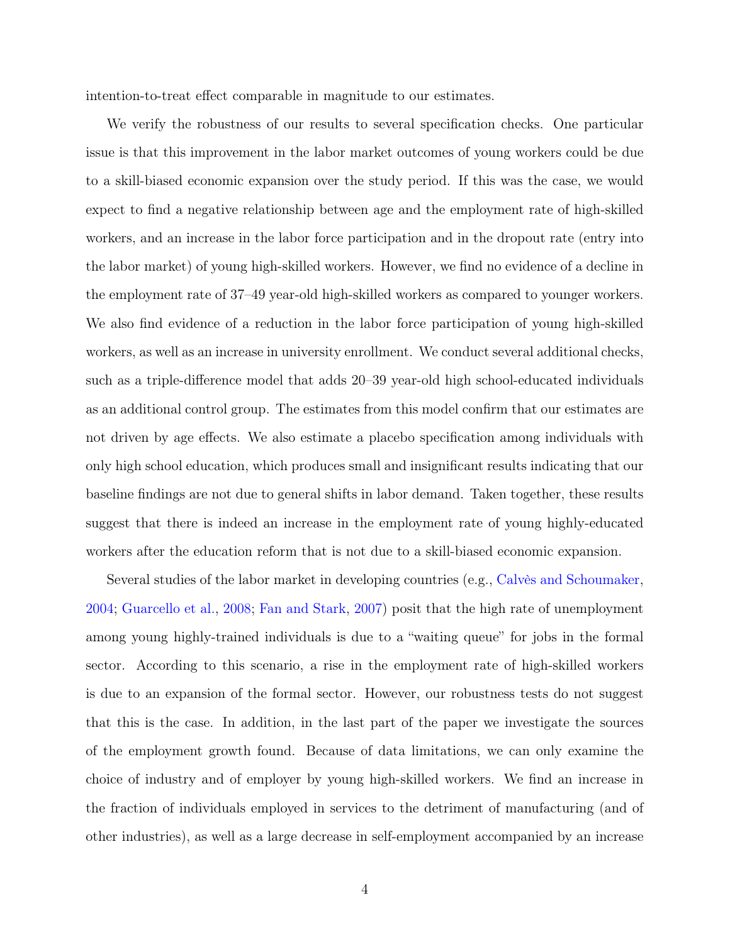intention-to-treat effect comparable in magnitude to our estimates.

We verify the robustness of our results to several specification checks. One particular issue is that this improvement in the labor market outcomes of young workers could be due to a skill-biased economic expansion over the study period. If this was the case, we would expect to find a negative relationship between age and the employment rate of high-skilled workers, and an increase in the labor force participation and in the dropout rate (entry into the labor market) of young high-skilled workers. However, we find no evidence of a decline in the employment rate of 37–49 year-old high-skilled workers as compared to younger workers. We also find evidence of a reduction in the labor force participation of young high-skilled workers, as well as an increase in university enrollment. We conduct several additional checks, such as a triple-difference model that adds 20–39 year-old high school-educated individuals as an additional control group. The estimates from this model confirm that our estimates are not driven by age effects. We also estimate a placebo specification among individuals with only high school education, which produces small and insignificant results indicating that our baseline findings are not due to general shifts in labor demand. Taken together, these results suggest that there is indeed an increase in the employment rate of young highly-educated workers after the education reform that is not due to a skill-biased economic expansion.

Several studies of the labor market in developing countries (e.g., [Calvès and Schoumaker,](#page-31-4) [2004;](#page-31-4) [Guarcello et al.,](#page-32-5) [2008;](#page-32-5) [Fan and Stark,](#page-32-6) [2007\)](#page-32-6) posit that the high rate of unemployment among young highly-trained individuals is due to a "waiting queue" for jobs in the formal sector. According to this scenario, a rise in the employment rate of high-skilled workers is due to an expansion of the formal sector. However, our robustness tests do not suggest that this is the case. In addition, in the last part of the paper we investigate the sources of the employment growth found. Because of data limitations, we can only examine the choice of industry and of employer by young high-skilled workers. We find an increase in the fraction of individuals employed in services to the detriment of manufacturing (and of other industries), as well as a large decrease in self-employment accompanied by an increase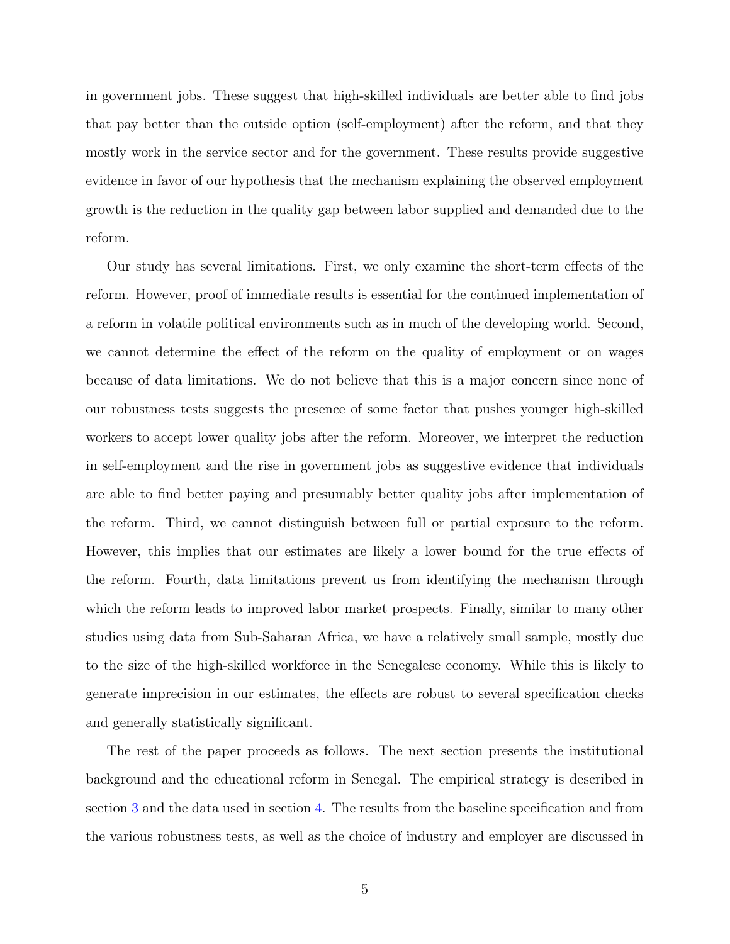in government jobs. These suggest that high-skilled individuals are better able to find jobs that pay better than the outside option (self-employment) after the reform, and that they mostly work in the service sector and for the government. These results provide suggestive evidence in favor of our hypothesis that the mechanism explaining the observed employment growth is the reduction in the quality gap between labor supplied and demanded due to the reform.

Our study has several limitations. First, we only examine the short-term effects of the reform. However, proof of immediate results is essential for the continued implementation of a reform in volatile political environments such as in much of the developing world. Second, we cannot determine the effect of the reform on the quality of employment or on wages because of data limitations. We do not believe that this is a major concern since none of our robustness tests suggests the presence of some factor that pushes younger high-skilled workers to accept lower quality jobs after the reform. Moreover, we interpret the reduction in self-employment and the rise in government jobs as suggestive evidence that individuals are able to find better paying and presumably better quality jobs after implementation of the reform. Third, we cannot distinguish between full or partial exposure to the reform. However, this implies that our estimates are likely a lower bound for the true effects of the reform. Fourth, data limitations prevent us from identifying the mechanism through which the reform leads to improved labor market prospects. Finally, similar to many other studies using data from Sub-Saharan Africa, we have a relatively small sample, mostly due to the size of the high-skilled workforce in the Senegalese economy. While this is likely to generate imprecision in our estimates, the effects are robust to several specification checks and generally statistically significant.

The rest of the paper proceeds as follows. The next section presents the institutional background and the educational reform in Senegal. The empirical strategy is described in section [3](#page-12-0) and the data used in section [4.](#page-14-0) The results from the baseline specification and from the various robustness tests, as well as the choice of industry and employer are discussed in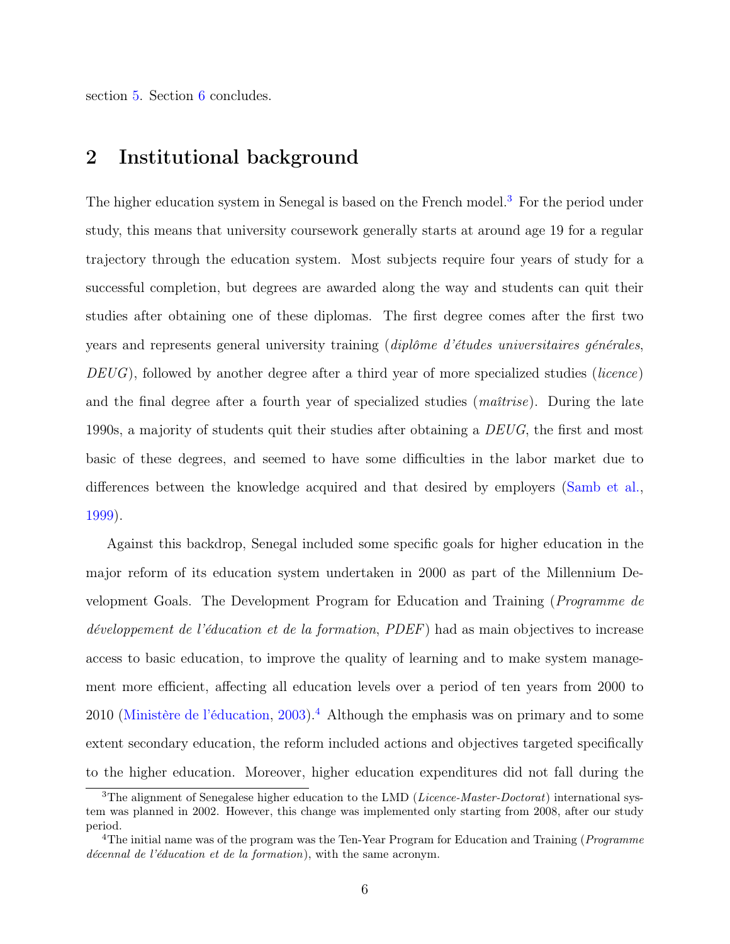section [5.](#page-18-0) Section [6](#page-26-0) concludes.

#### 2 Institutional background

The higher education system in Senegal is based on the French model.<sup>[3](#page-8-0)</sup> For the period under study, this means that university coursework generally starts at around age 19 for a regular trajectory through the education system. Most subjects require four years of study for a successful completion, but degrees are awarded along the way and students can quit their studies after obtaining one of these diplomas. The first degree comes after the first two years and represents general university training (diplôme d'études universitaires générales, DEUG), followed by another degree after a third year of more specialized studies (*licence*) and the final degree after a fourth year of specialized studies  $(m\hat{a}$ trise). During the late 1990s, a majority of students quit their studies after obtaining a DEUG, the first and most basic of these degrees, and seemed to have some difficulties in the labor market due to differences between the knowledge acquired and that desired by employers [\(Samb et al.,](#page-34-6) [1999\)](#page-34-6).

Against this backdrop, Senegal included some specific goals for higher education in the major reform of its education system undertaken in 2000 as part of the Millennium Development Goals. The Development Program for Education and Training (Programme de développement de l'éducation et de la formation, PDEF) had as main objectives to increase access to basic education, to improve the quality of learning and to make system management more efficient, affecting all education levels over a period of ten years from 2000 to 2010 [\(Ministère de l'éducation,](#page-34-7) [2003\)](#page-34-7).[4](#page-8-1) Although the emphasis was on primary and to some extent secondary education, the reform included actions and objectives targeted specifically to the higher education. Moreover, higher education expenditures did not fall during the

<span id="page-8-0"></span><sup>&</sup>lt;sup>3</sup>The alignment of Senegalese higher education to the LMD (*Licence-Master-Doctorat*) international system was planned in 2002. However, this change was implemented only starting from 2008, after our study period.

<span id="page-8-1"></span><sup>&</sup>lt;sup>4</sup>The initial name was of the program was the Ten-Year Program for Education and Training (*Programme*) décennal de l'éducation et de la formation), with the same acronym.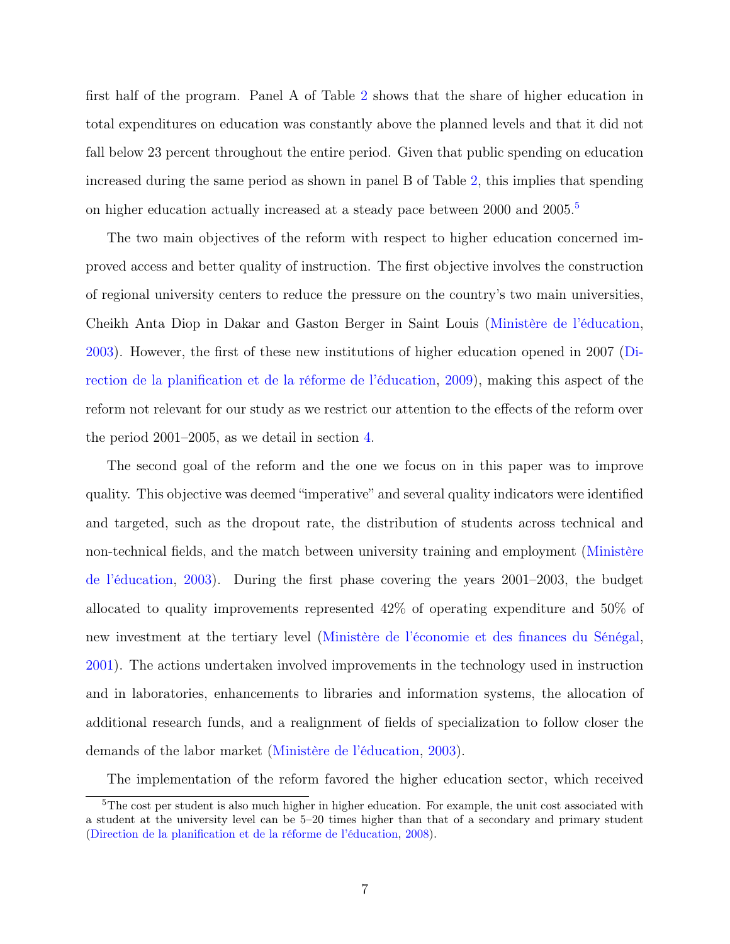first half of the program. Panel A of Table [2](#page-38-0) shows that the share of higher education in total expenditures on education was constantly above the planned levels and that it did not fall below 23 percent throughout the entire period. Given that public spending on education increased during the same period as shown in panel B of Table [2,](#page-38-0) this implies that spending on higher education actually increased at a steady pace between 2000 and 200[5](#page-9-0).<sup>5</sup>

The two main objectives of the reform with respect to higher education concerned improved access and better quality of instruction. The first objective involves the construction of regional university centers to reduce the pressure on the country's two main universities, Cheikh Anta Diop in Dakar and Gaston Berger in Saint Louis [\(Ministère de l'éducation,](#page-34-7) [2003\)](#page-34-7). However, the first of these new institutions of higher education opened in 2007 [\(Di](#page-31-6)[rection de la planification et de la réforme de l'éducation,](#page-31-6) [2009\)](#page-31-6), making this aspect of the reform not relevant for our study as we restrict our attention to the effects of the reform over the period 2001–2005, as we detail in section [4.](#page-14-0)

The second goal of the reform and the one we focus on in this paper was to improve quality. This objective was deemed "imperative" and several quality indicators were identified and targeted, such as the dropout rate, the distribution of students across technical and non-technical fields, and the match between university training and employment [\(Ministère](#page-34-7) [de l'éducation,](#page-34-7) [2003\)](#page-34-7). During the first phase covering the years 2001–2003, the budget allocated to quality improvements represented 42% of operating expenditure and 50% of new investment at the tertiary level [\(Ministère de l'économie et des finances du Sénégal,](#page-34-8) [2001\)](#page-34-8). The actions undertaken involved improvements in the technology used in instruction and in laboratories, enhancements to libraries and information systems, the allocation of additional research funds, and a realignment of fields of specialization to follow closer the demands of the labor market [\(Ministère de l'éducation,](#page-34-7) [2003\)](#page-34-7).

<span id="page-9-0"></span>The implementation of the reform favored the higher education sector, which received

<sup>&</sup>lt;sup>5</sup>The cost per student is also much higher in higher education. For example, the unit cost associated with a student at the university level can be 5–20 times higher than that of a secondary and primary student [\(Direction de la planification et de la réforme de l'éducation,](#page-31-7) [2008\)](#page-31-7).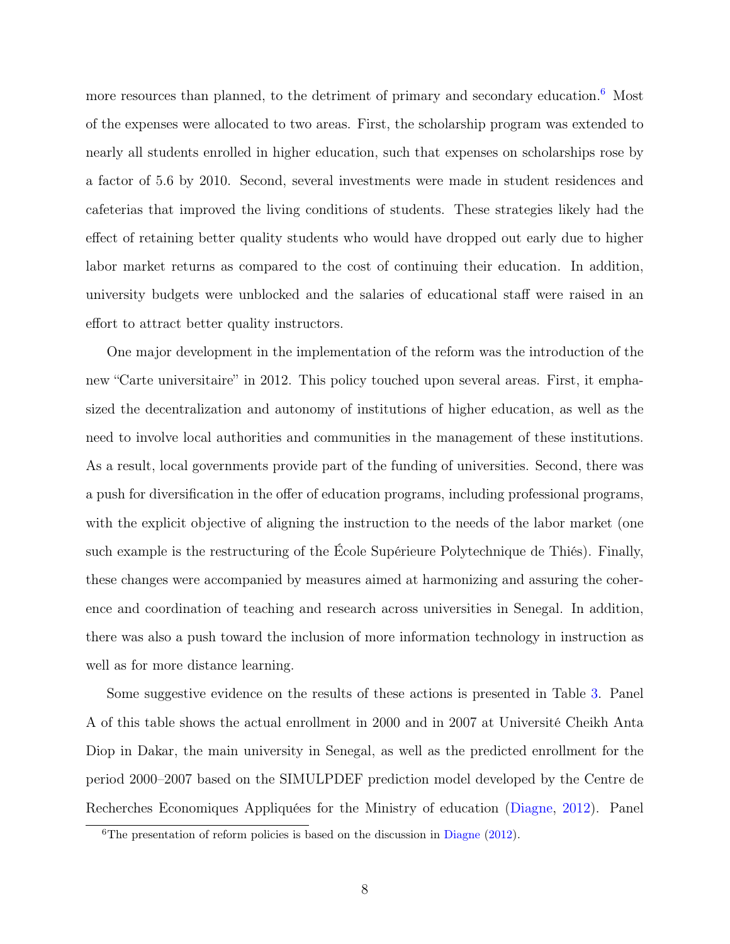more resources than planned, to the detriment of primary and secondary education.<sup>[6](#page-10-0)</sup> Most of the expenses were allocated to two areas. First, the scholarship program was extended to nearly all students enrolled in higher education, such that expenses on scholarships rose by a factor of 5.6 by 2010. Second, several investments were made in student residences and cafeterias that improved the living conditions of students. These strategies likely had the effect of retaining better quality students who would have dropped out early due to higher labor market returns as compared to the cost of continuing their education. In addition, university budgets were unblocked and the salaries of educational staff were raised in an effort to attract better quality instructors.

One major development in the implementation of the reform was the introduction of the new "Carte universitaire" in 2012. This policy touched upon several areas. First, it emphasized the decentralization and autonomy of institutions of higher education, as well as the need to involve local authorities and communities in the management of these institutions. As a result, local governments provide part of the funding of universities. Second, there was a push for diversification in the offer of education programs, including professional programs, with the explicit objective of aligning the instruction to the needs of the labor market (one such example is the restructuring of the École Supérieure Polytechnique de Thiés). Finally, these changes were accompanied by measures aimed at harmonizing and assuring the coherence and coordination of teaching and research across universities in Senegal. In addition, there was also a push toward the inclusion of more information technology in instruction as well as for more distance learning.

Some suggestive evidence on the results of these actions is presented in Table [3.](#page-39-0) Panel A of this table shows the actual enrollment in 2000 and in 2007 at Université Cheikh Anta Diop in Dakar, the main university in Senegal, as well as the predicted enrollment for the period 2000–2007 based on the SIMULPDEF prediction model developed by the Centre de Recherches Economiques Appliquées for the Ministry of education [\(Diagne,](#page-31-8) [2012\)](#page-31-8). Panel

<span id="page-10-0"></span><sup>&</sup>lt;sup>6</sup>The presentation of reform policies is based on the discussion in [Diagne](#page-31-8)  $(2012)$ .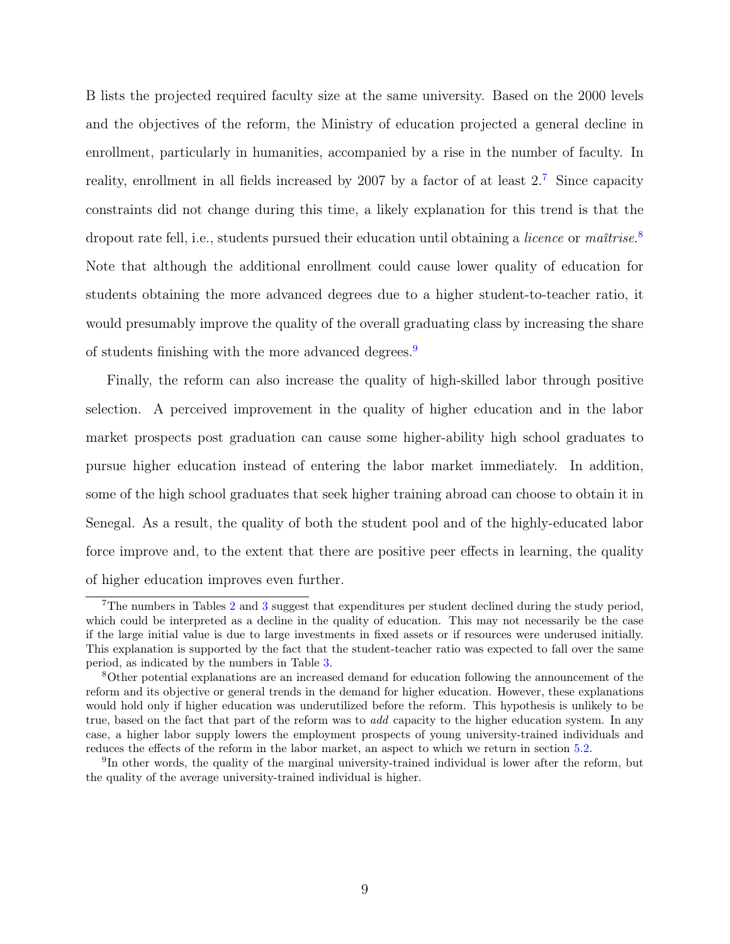B lists the projected required faculty size at the same university. Based on the 2000 levels and the objectives of the reform, the Ministry of education projected a general decline in enrollment, particularly in humanities, accompanied by a rise in the number of faculty. In reality, enrollment in all fields increased by 2007 by a factor of at least 2.[7](#page-11-0) Since capacity constraints did not change during this time, a likely explanation for this trend is that the dropout rate fell, i.e., students pursued their education until obtaining a *licence* or maîtrise.<sup>[8](#page-11-1)</sup> Note that although the additional enrollment could cause lower quality of education for students obtaining the more advanced degrees due to a higher student-to-teacher ratio, it would presumably improve the quality of the overall graduating class by increasing the share of students finishing with the more advanced degrees.<sup>[9](#page-11-2)</sup>

Finally, the reform can also increase the quality of high-skilled labor through positive selection. A perceived improvement in the quality of higher education and in the labor market prospects post graduation can cause some higher-ability high school graduates to pursue higher education instead of entering the labor market immediately. In addition, some of the high school graduates that seek higher training abroad can choose to obtain it in Senegal. As a result, the quality of both the student pool and of the highly-educated labor force improve and, to the extent that there are positive peer effects in learning, the quality of higher education improves even further.

<span id="page-11-0"></span><sup>7</sup>The numbers in Tables [2](#page-38-0) and [3](#page-39-0) suggest that expenditures per student declined during the study period, which could be interpreted as a decline in the quality of education. This may not necessarily be the case if the large initial value is due to large investments in fixed assets or if resources were underused initially. This explanation is supported by the fact that the student-teacher ratio was expected to fall over the same period, as indicated by the numbers in Table [3.](#page-39-0)

<span id="page-11-1"></span><sup>8</sup>Other potential explanations are an increased demand for education following the announcement of the reform and its objective or general trends in the demand for higher education. However, these explanations would hold only if higher education was underutilized before the reform. This hypothesis is unlikely to be true, based on the fact that part of the reform was to *add* capacity to the higher education system. In any case, a higher labor supply lowers the employment prospects of young university-trained individuals and reduces the effects of the reform in the labor market, an aspect to which we return in section [5.2.](#page-20-0)

<span id="page-11-2"></span><sup>&</sup>lt;sup>9</sup>In other words, the quality of the marginal university-trained individual is lower after the reform, but the quality of the average university-trained individual is higher.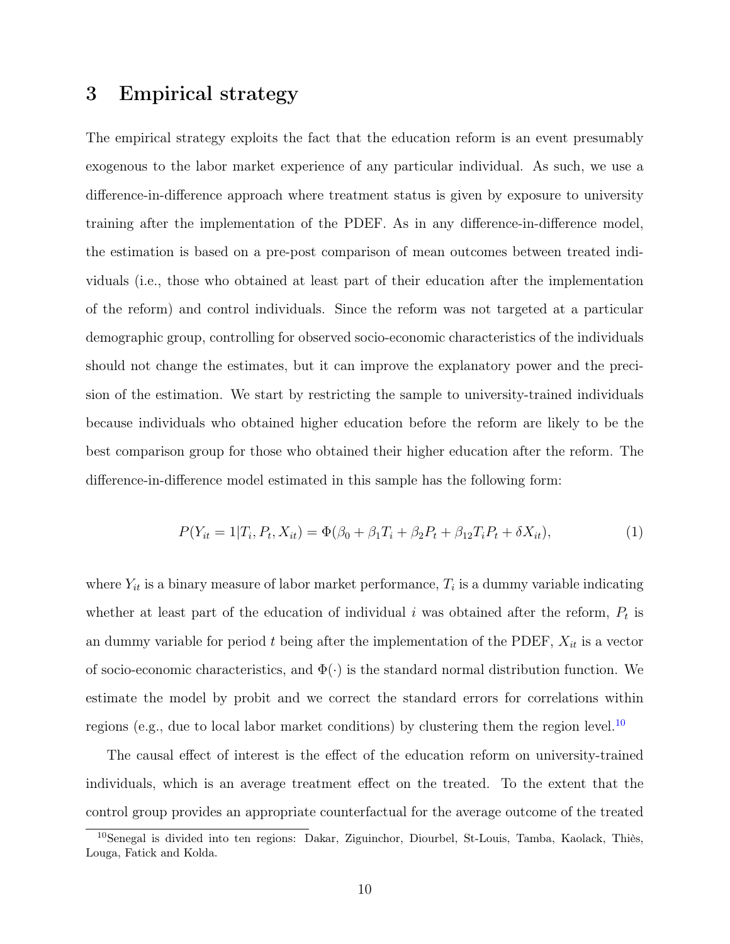### <span id="page-12-0"></span>3 Empirical strategy

The empirical strategy exploits the fact that the education reform is an event presumably exogenous to the labor market experience of any particular individual. As such, we use a difference-in-difference approach where treatment status is given by exposure to university training after the implementation of the PDEF. As in any difference-in-difference model, the estimation is based on a pre-post comparison of mean outcomes between treated individuals (i.e., those who obtained at least part of their education after the implementation of the reform) and control individuals. Since the reform was not targeted at a particular demographic group, controlling for observed socio-economic characteristics of the individuals should not change the estimates, but it can improve the explanatory power and the precision of the estimation. We start by restricting the sample to university-trained individuals because individuals who obtained higher education before the reform are likely to be the best comparison group for those who obtained their higher education after the reform. The difference-in-difference model estimated in this sample has the following form:

<span id="page-12-2"></span>
$$
P(Y_{it} = 1 | T_i, P_t, X_{it}) = \Phi(\beta_0 + \beta_1 T_i + \beta_2 P_t + \beta_{12} T_i P_t + \delta X_{it}),
$$
\n(1)

where  $Y_{it}$  is a binary measure of labor market performance,  $T_i$  is a dummy variable indicating whether at least part of the education of individual i was obtained after the reform,  $P_t$  is an dummy variable for period t being after the implementation of the PDEF,  $X_{it}$  is a vector of socio-economic characteristics, and  $\Phi(\cdot)$  is the standard normal distribution function. We estimate the model by probit and we correct the standard errors for correlations within regions (e.g., due to local labor market conditions) by clustering them the region level.<sup>[10](#page-12-1)</sup>

The causal effect of interest is the effect of the education reform on university-trained individuals, which is an average treatment effect on the treated. To the extent that the control group provides an appropriate counterfactual for the average outcome of the treated

<span id="page-12-1"></span><sup>10</sup>Senegal is divided into ten regions: Dakar, Ziguinchor, Diourbel, St-Louis, Tamba, Kaolack, Thiès, Louga, Fatick and Kolda.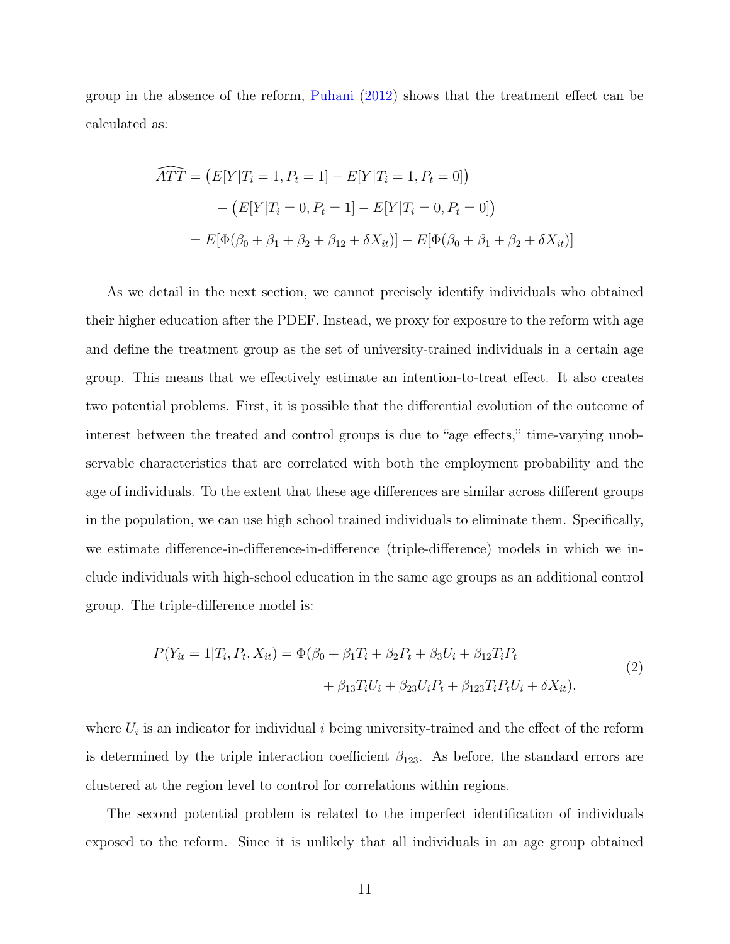group in the absence of the reform, [Puhani](#page-34-9) [\(2012\)](#page-34-9) shows that the treatment effect can be calculated as:

$$
\widehat{ATT} = (E[Y|T_i = 1, P_t = 1] - E[Y|T_i = 1, P_t = 0])
$$

$$
- (E[Y|T_i = 0, P_t = 1] - E[Y|T_i = 0, P_t = 0])
$$

$$
= E[\Phi(\beta_0 + \beta_1 + \beta_2 + \beta_{12} + \delta X_{it})] - E[\Phi(\beta_0 + \beta_1 + \beta_2 + \delta X_{it})]
$$

As we detail in the next section, we cannot precisely identify individuals who obtained their higher education after the PDEF. Instead, we proxy for exposure to the reform with age and define the treatment group as the set of university-trained individuals in a certain age group. This means that we effectively estimate an intention-to-treat effect. It also creates two potential problems. First, it is possible that the differential evolution of the outcome of interest between the treated and control groups is due to "age effects," time-varying unobservable characteristics that are correlated with both the employment probability and the age of individuals. To the extent that these age differences are similar across different groups in the population, we can use high school trained individuals to eliminate them. Specifically, we estimate difference-in-difference-in-difference (triple-difference) models in which we include individuals with high-school education in the same age groups as an additional control group. The triple-difference model is:

$$
P(Y_{it} = 1 | T_i, P_t, X_{it}) = \Phi(\beta_0 + \beta_1 T_i + \beta_2 P_t + \beta_3 U_i + \beta_{12} T_i P_t + \beta_{13} T_i U_i + \beta_{23} U_i P_t + \beta_{123} T_i P_t U_i + \delta X_{it}),
$$
\n(2)

where  $U_i$  is an indicator for individual i being university-trained and the effect of the reform is determined by the triple interaction coefficient  $\beta_{123}$ . As before, the standard errors are clustered at the region level to control for correlations within regions.

The second potential problem is related to the imperfect identification of individuals exposed to the reform. Since it is unlikely that all individuals in an age group obtained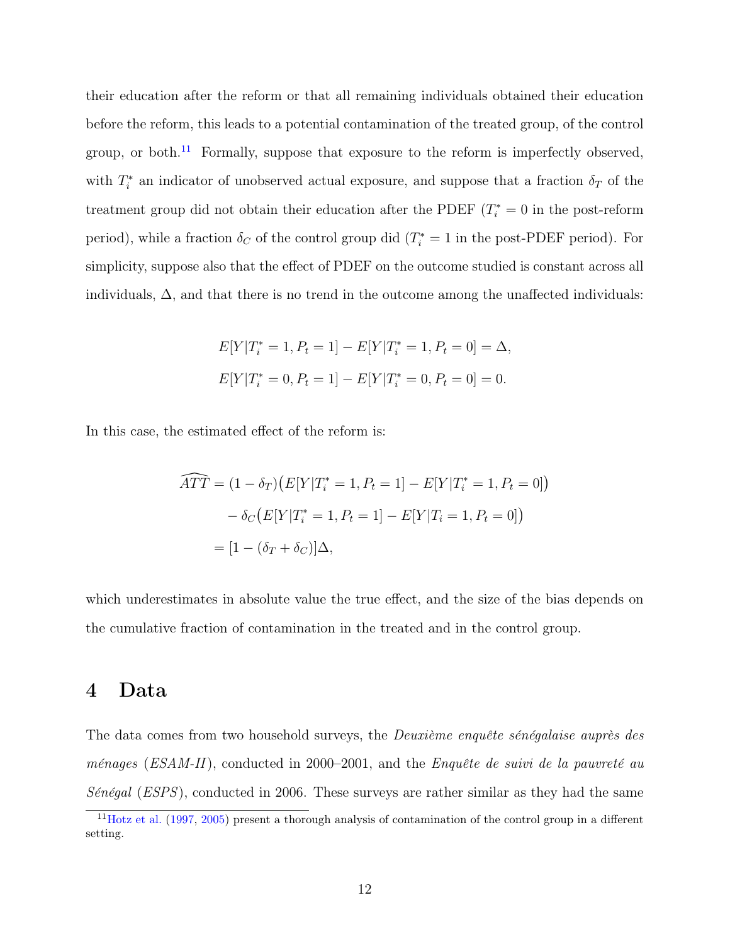their education after the reform or that all remaining individuals obtained their education before the reform, this leads to a potential contamination of the treated group, of the control group, or both.<sup>[11](#page-14-1)</sup> Formally, suppose that exposure to the reform is imperfectly observed, with  $T_i^*$  an indicator of unobserved actual exposure, and suppose that a fraction  $\delta_T$  of the treatment group did not obtain their education after the PDEF ( $T_i^* = 0$  in the post-reform period), while a fraction  $\delta_C$  of the control group did  $(T_i^* = 1$  in the post-PDEF period). For simplicity, suppose also that the effect of PDEF on the outcome studied is constant across all individuals,  $\Delta$ , and that there is no trend in the outcome among the unaffected individuals:

$$
E[Y|T_i^* = 1, P_t = 1] - E[Y|T_i^* = 1, P_t = 0] = \Delta,
$$
  

$$
E[Y|T_i^* = 0, P_t = 1] - E[Y|T_i^* = 0, P_t = 0] = 0.
$$

In this case, the estimated effect of the reform is:

$$
\widehat{ATT} = (1 - \delta_T) \big( E[Y|T_i^* = 1, P_t = 1] - E[Y|T_i^* = 1, P_t = 0] \big) \n- \delta_C \big( E[Y|T_i^* = 1, P_t = 1] - E[Y|T_i = 1, P_t = 0] \big) \n= [1 - (\delta_T + \delta_C)]\Delta,
$$

which underestimates in absolute value the true effect, and the size of the bias depends on the cumulative fraction of contamination in the treated and in the control group.

#### <span id="page-14-0"></span>4 Data

The data comes from two household surveys, the Deuxième enquête sénégalaise auprès des *ménages* (*ESAM-II*), conducted in 2000–2001, and the *Enquête de suivi de la pauvreté au* Sénégal (ESPS), conducted in 2006. These surveys are rather similar as they had the same

<span id="page-14-1"></span><sup>11</sup>[Hotz et al.](#page-33-7) [\(1997,](#page-33-7) [2005\)](#page-33-8) present a thorough analysis of contamination of the control group in a different setting.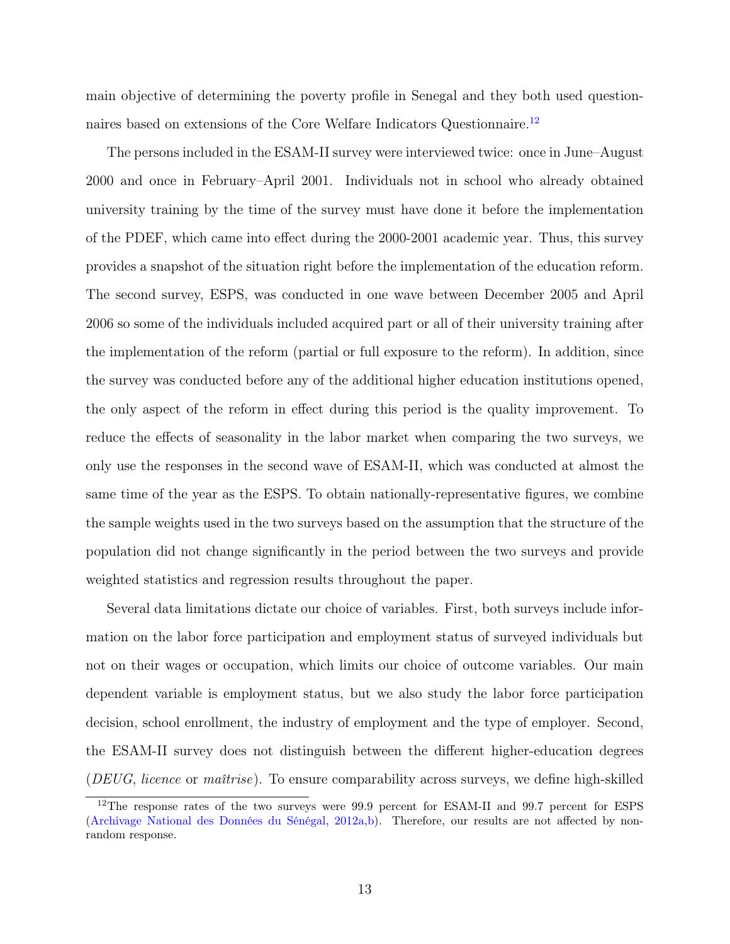main objective of determining the poverty profile in Senegal and they both used question-naires based on extensions of the Core Welfare Indicators Questionnaire.<sup>[12](#page-15-0)</sup>

The persons included in the ESAM-II survey were interviewed twice: once in June–August 2000 and once in February–April 2001. Individuals not in school who already obtained university training by the time of the survey must have done it before the implementation of the PDEF, which came into effect during the 2000-2001 academic year. Thus, this survey provides a snapshot of the situation right before the implementation of the education reform. The second survey, ESPS, was conducted in one wave between December 2005 and April 2006 so some of the individuals included acquired part or all of their university training after the implementation of the reform (partial or full exposure to the reform). In addition, since the survey was conducted before any of the additional higher education institutions opened, the only aspect of the reform in effect during this period is the quality improvement. To reduce the effects of seasonality in the labor market when comparing the two surveys, we only use the responses in the second wave of ESAM-II, which was conducted at almost the same time of the year as the ESPS. To obtain nationally-representative figures, we combine the sample weights used in the two surveys based on the assumption that the structure of the population did not change significantly in the period between the two surveys and provide weighted statistics and regression results throughout the paper.

Several data limitations dictate our choice of variables. First, both surveys include information on the labor force participation and employment status of surveyed individuals but not on their wages or occupation, which limits our choice of outcome variables. Our main dependent variable is employment status, but we also study the labor force participation decision, school enrollment, the industry of employment and the type of employer. Second, the ESAM-II survey does not distinguish between the different higher-education degrees (DEUG, licence or maîtrise). To ensure comparability across surveys, we define high-skilled

<span id="page-15-0"></span><sup>&</sup>lt;sup>12</sup>The response rates of the two surveys were 99.9 percent for ESAM-II and 99.7 percent for ESPS [\(Archivage National des Données du Sénégal,](#page-30-6) [2012a,](#page-30-6)[b\)](#page-30-7). Therefore, our results are not affected by nonrandom response.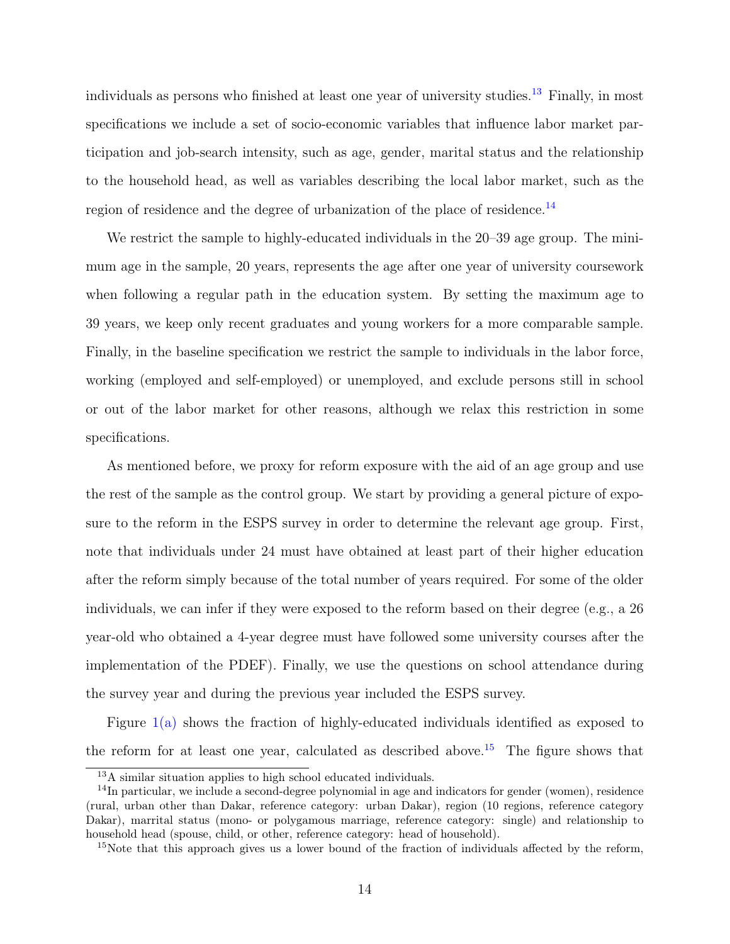individuals as persons who finished at least one year of university studies.<sup>[13](#page-16-0)</sup> Finally, in most specifications we include a set of socio-economic variables that influence labor market participation and job-search intensity, such as age, gender, marital status and the relationship to the household head, as well as variables describing the local labor market, such as the region of residence and the degree of urbanization of the place of residence.<sup>[14](#page-16-1)</sup>

We restrict the sample to highly-educated individuals in the 20–39 age group. The minimum age in the sample, 20 years, represents the age after one year of university coursework when following a regular path in the education system. By setting the maximum age to 39 years, we keep only recent graduates and young workers for a more comparable sample. Finally, in the baseline specification we restrict the sample to individuals in the labor force, working (employed and self-employed) or unemployed, and exclude persons still in school or out of the labor market for other reasons, although we relax this restriction in some specifications.

As mentioned before, we proxy for reform exposure with the aid of an age group and use the rest of the sample as the control group. We start by providing a general picture of exposure to the reform in the ESPS survey in order to determine the relevant age group. First, note that individuals under 24 must have obtained at least part of their higher education after the reform simply because of the total number of years required. For some of the older individuals, we can infer if they were exposed to the reform based on their degree (e.g., a 26 year-old who obtained a 4-year degree must have followed some university courses after the implementation of the PDEF). Finally, we use the questions on school attendance during the survey year and during the previous year included the ESPS survey.

Figure [1\(a\)](#page-36-0) shows the fraction of highly-educated individuals identified as exposed to the reform for at least one year, calculated as described above.<sup>[15](#page-16-2)</sup> The figure shows that

<span id="page-16-1"></span><span id="page-16-0"></span> $13A$  similar situation applies to high school educated individuals.

<sup>&</sup>lt;sup>14</sup>In particular, we include a second-degree polynomial in age and indicators for gender (women), residence (rural, urban other than Dakar, reference category: urban Dakar), region (10 regions, reference category Dakar), marrital status (mono- or polygamous marriage, reference category: single) and relationship to household head (spouse, child, or other, reference category: head of household).

<span id="page-16-2"></span><sup>&</sup>lt;sup>15</sup>Note that this approach gives us a lower bound of the fraction of individuals affected by the reform,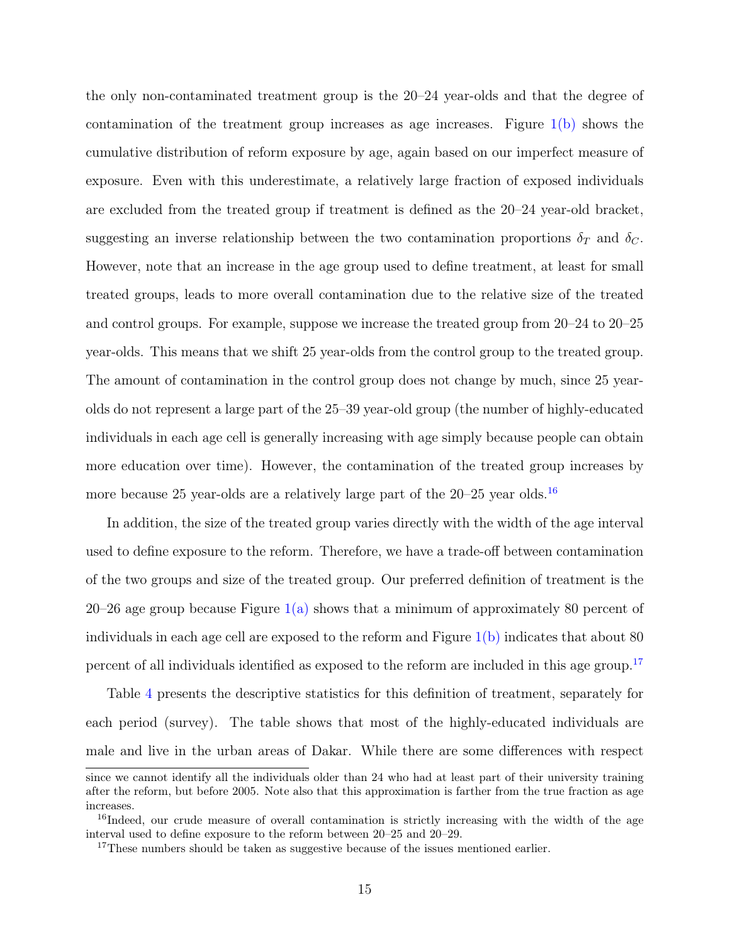the only non-contaminated treatment group is the 20–24 year-olds and that the degree of contamination of the treatment group increases as age increases. Figure [1\(b\)](#page-36-1) shows the cumulative distribution of reform exposure by age, again based on our imperfect measure of exposure. Even with this underestimate, a relatively large fraction of exposed individuals are excluded from the treated group if treatment is defined as the 20–24 year-old bracket, suggesting an inverse relationship between the two contamination proportions  $\delta_T$  and  $\delta_C$ . However, note that an increase in the age group used to define treatment, at least for small treated groups, leads to more overall contamination due to the relative size of the treated and control groups. For example, suppose we increase the treated group from 20–24 to 20–25 year-olds. This means that we shift 25 year-olds from the control group to the treated group. The amount of contamination in the control group does not change by much, since 25 yearolds do not represent a large part of the 25–39 year-old group (the number of highly-educated individuals in each age cell is generally increasing with age simply because people can obtain more education over time). However, the contamination of the treated group increases by more because 25 year-olds are a relatively large part of the  $20-25$  year olds.<sup>[16](#page-17-0)</sup>

In addition, the size of the treated group varies directly with the width of the age interval used to define exposure to the reform. Therefore, we have a trade-off between contamination of the two groups and size of the treated group. Our preferred definition of treatment is the 20–26 age group because Figure  $1(a)$  shows that a minimum of approximately 80 percent of individuals in each age cell are exposed to the reform and Figure  $1(b)$  indicates that about 80 percent of all individuals identified as exposed to the reform are included in this age group.<sup>[17](#page-17-1)</sup>

Table [4](#page-40-0) presents the descriptive statistics for this definition of treatment, separately for each period (survey). The table shows that most of the highly-educated individuals are male and live in the urban areas of Dakar. While there are some differences with respect

since we cannot identify all the individuals older than 24 who had at least part of their university training after the reform, but before 2005. Note also that this approximation is farther from the true fraction as age increases.

<span id="page-17-0"></span><sup>&</sup>lt;sup>16</sup>Indeed, our crude measure of overall contamination is strictly increasing with the width of the age interval used to define exposure to the reform between 20–25 and 20–29.

<span id="page-17-1"></span><sup>&</sup>lt;sup>17</sup>These numbers should be taken as suggestive because of the issues mentioned earlier.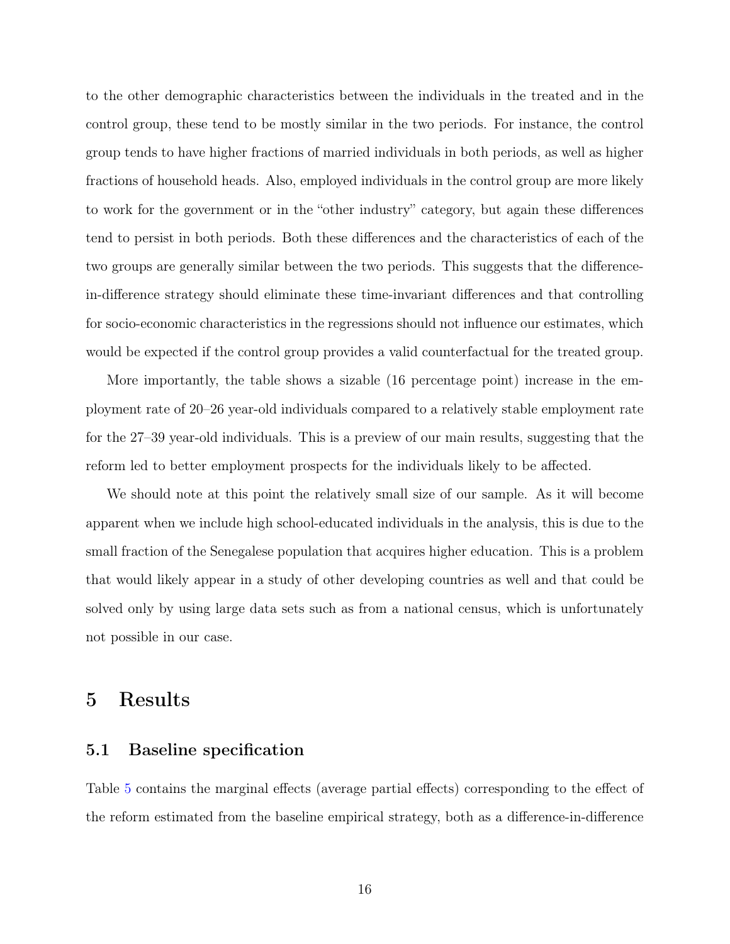to the other demographic characteristics between the individuals in the treated and in the control group, these tend to be mostly similar in the two periods. For instance, the control group tends to have higher fractions of married individuals in both periods, as well as higher fractions of household heads. Also, employed individuals in the control group are more likely to work for the government or in the "other industry" category, but again these differences tend to persist in both periods. Both these differences and the characteristics of each of the two groups are generally similar between the two periods. This suggests that the differencein-difference strategy should eliminate these time-invariant differences and that controlling for socio-economic characteristics in the regressions should not influence our estimates, which would be expected if the control group provides a valid counterfactual for the treated group.

More importantly, the table shows a sizable (16 percentage point) increase in the employment rate of 20–26 year-old individuals compared to a relatively stable employment rate for the 27–39 year-old individuals. This is a preview of our main results, suggesting that the reform led to better employment prospects for the individuals likely to be affected.

We should note at this point the relatively small size of our sample. As it will become apparent when we include high school-educated individuals in the analysis, this is due to the small fraction of the Senegalese population that acquires higher education. This is a problem that would likely appear in a study of other developing countries as well and that could be solved only by using large data sets such as from a national census, which is unfortunately not possible in our case.

# <span id="page-18-0"></span>5 Results

#### 5.1 Baseline specification

Table [5](#page-41-0) contains the marginal effects (average partial effects) corresponding to the effect of the reform estimated from the baseline empirical strategy, both as a difference-in-difference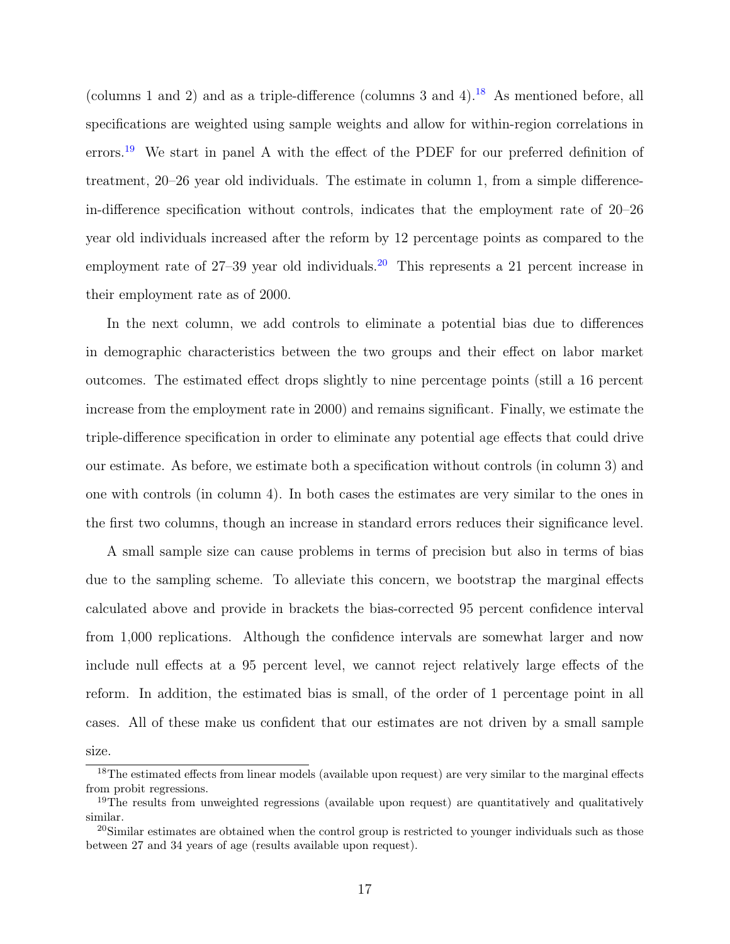(columns 1 and 2) and as a triple-difference (columns 3 and 4).[18](#page-19-0) As mentioned before, all specifications are weighted using sample weights and allow for within-region correlations in errors.<sup>[19](#page-19-1)</sup> We start in panel A with the effect of the PDEF for our preferred definition of treatment, 20–26 year old individuals. The estimate in column 1, from a simple differencein-difference specification without controls, indicates that the employment rate of 20–26 year old individuals increased after the reform by 12 percentage points as compared to the employment rate of  $27-39$  year old individuals.<sup>[20](#page-19-2)</sup> This represents a 21 percent increase in their employment rate as of 2000.

In the next column, we add controls to eliminate a potential bias due to differences in demographic characteristics between the two groups and their effect on labor market outcomes. The estimated effect drops slightly to nine percentage points (still a 16 percent increase from the employment rate in 2000) and remains significant. Finally, we estimate the triple-difference specification in order to eliminate any potential age effects that could drive our estimate. As before, we estimate both a specification without controls (in column 3) and one with controls (in column 4). In both cases the estimates are very similar to the ones in the first two columns, though an increase in standard errors reduces their significance level.

A small sample size can cause problems in terms of precision but also in terms of bias due to the sampling scheme. To alleviate this concern, we bootstrap the marginal effects calculated above and provide in brackets the bias-corrected 95 percent confidence interval from 1,000 replications. Although the confidence intervals are somewhat larger and now include null effects at a 95 percent level, we cannot reject relatively large effects of the reform. In addition, the estimated bias is small, of the order of 1 percentage point in all cases. All of these make us confident that our estimates are not driven by a small sample

size.

<span id="page-19-0"></span><sup>&</sup>lt;sup>18</sup>The estimated effects from linear models (available upon request) are very similar to the marginal effects from probit regressions.

<span id="page-19-1"></span><sup>&</sup>lt;sup>19</sup>The results from unweighted regressions (available upon request) are quantitatively and qualitatively similar.

<span id="page-19-2"></span> $^{20}$ Similar estimates are obtained when the control group is restricted to younger individuals such as those between 27 and 34 years of age (results available upon request).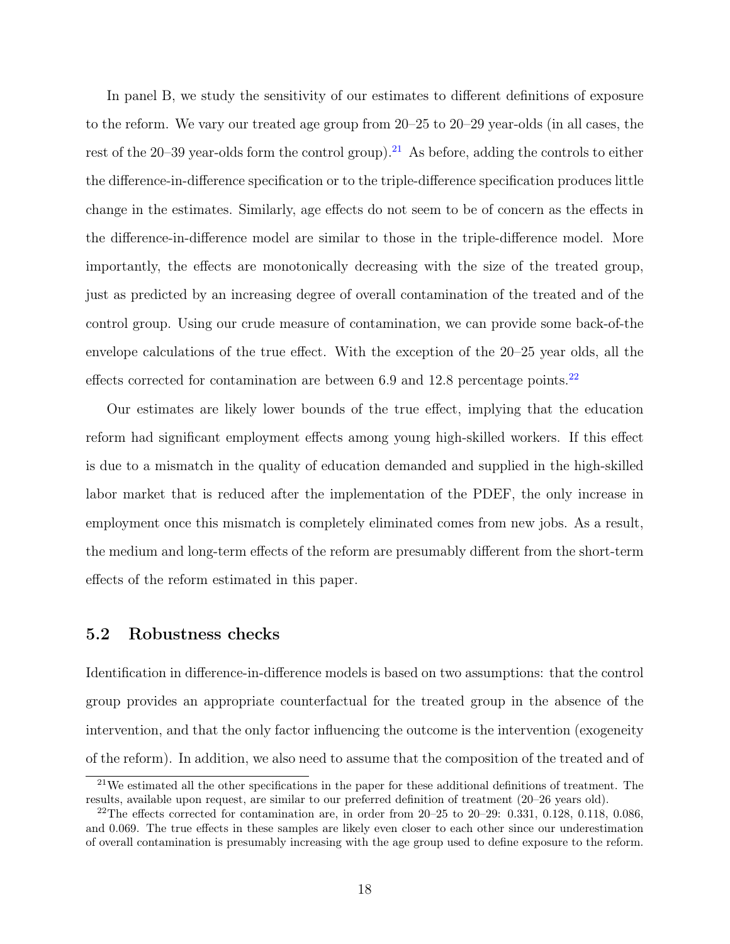In panel B, we study the sensitivity of our estimates to different definitions of exposure to the reform. We vary our treated age group from 20–25 to 20–29 year-olds (in all cases, the rest of the  $20-39$  year-olds form the control group).<sup>[21](#page-20-1)</sup> As before, adding the controls to either the difference-in-difference specification or to the triple-difference specification produces little change in the estimates. Similarly, age effects do not seem to be of concern as the effects in the difference-in-difference model are similar to those in the triple-difference model. More importantly, the effects are monotonically decreasing with the size of the treated group, just as predicted by an increasing degree of overall contamination of the treated and of the control group. Using our crude measure of contamination, we can provide some back-of-the envelope calculations of the true effect. With the exception of the 20–25 year olds, all the effects corrected for contamination are between 6.9 and 12.8 percentage points.<sup>[22](#page-20-2)</sup>

Our estimates are likely lower bounds of the true effect, implying that the education reform had significant employment effects among young high-skilled workers. If this effect is due to a mismatch in the quality of education demanded and supplied in the high-skilled labor market that is reduced after the implementation of the PDEF, the only increase in employment once this mismatch is completely eliminated comes from new jobs. As a result, the medium and long-term effects of the reform are presumably different from the short-term effects of the reform estimated in this paper.

#### <span id="page-20-0"></span>5.2 Robustness checks

Identification in difference-in-difference models is based on two assumptions: that the control group provides an appropriate counterfactual for the treated group in the absence of the intervention, and that the only factor influencing the outcome is the intervention (exogeneity of the reform). In addition, we also need to assume that the composition of the treated and of

<span id="page-20-1"></span><sup>&</sup>lt;sup>21</sup>We estimated all the other specifications in the paper for these additional definitions of treatment. The results, available upon request, are similar to our preferred definition of treatment (20–26 years old).

<span id="page-20-2"></span><sup>&</sup>lt;sup>22</sup>The effects corrected for contamination are, in order from  $20-25$  to  $20-29$ : 0.331, 0.128, 0.118, 0.086, and 0.069. The true effects in these samples are likely even closer to each other since our underestimation of overall contamination is presumably increasing with the age group used to define exposure to the reform.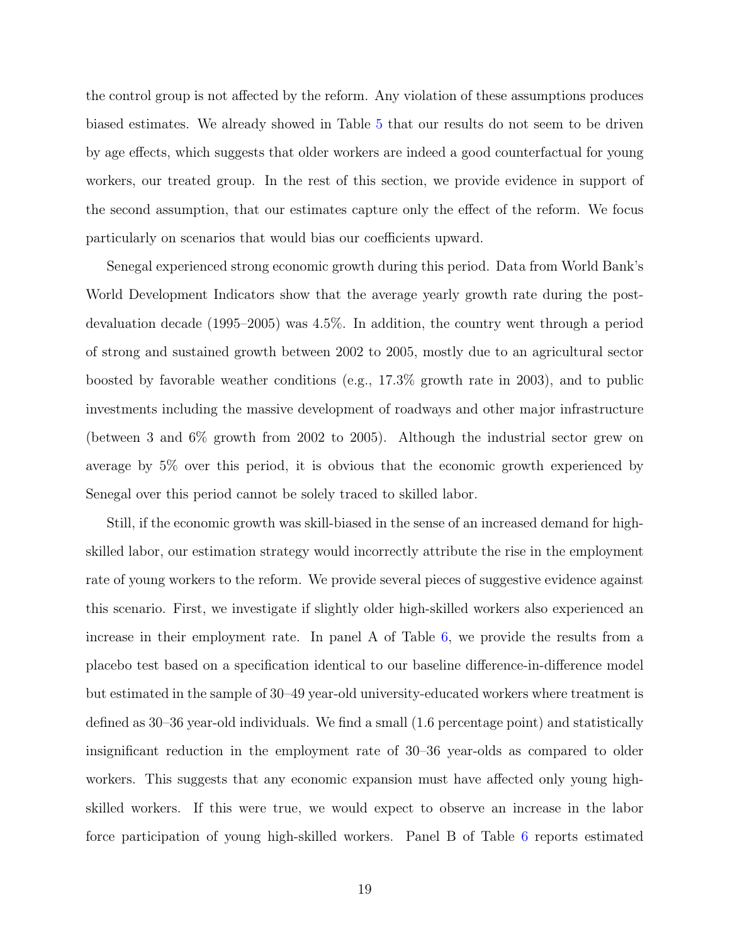the control group is not affected by the reform. Any violation of these assumptions produces biased estimates. We already showed in Table [5](#page-41-0) that our results do not seem to be driven by age effects, which suggests that older workers are indeed a good counterfactual for young workers, our treated group. In the rest of this section, we provide evidence in support of the second assumption, that our estimates capture only the effect of the reform. We focus particularly on scenarios that would bias our coefficients upward.

Senegal experienced strong economic growth during this period. Data from World Bank's World Development Indicators show that the average yearly growth rate during the postdevaluation decade (1995–2005) was 4.5%. In addition, the country went through a period of strong and sustained growth between 2002 to 2005, mostly due to an agricultural sector boosted by favorable weather conditions (e.g., 17.3% growth rate in 2003), and to public investments including the massive development of roadways and other major infrastructure (between 3 and 6% growth from 2002 to 2005). Although the industrial sector grew on average by 5% over this period, it is obvious that the economic growth experienced by Senegal over this period cannot be solely traced to skilled labor.

Still, if the economic growth was skill-biased in the sense of an increased demand for highskilled labor, our estimation strategy would incorrectly attribute the rise in the employment rate of young workers to the reform. We provide several pieces of suggestive evidence against this scenario. First, we investigate if slightly older high-skilled workers also experienced an increase in their employment rate. In panel A of Table [6,](#page-42-0) we provide the results from a placebo test based on a specification identical to our baseline difference-in-difference model but estimated in the sample of 30–49 year-old university-educated workers where treatment is defined as 30–36 year-old individuals. We find a small (1.6 percentage point) and statistically insignificant reduction in the employment rate of 30–36 year-olds as compared to older workers. This suggests that any economic expansion must have affected only young highskilled workers. If this were true, we would expect to observe an increase in the labor force participation of young high-skilled workers. Panel B of Table [6](#page-42-0) reports estimated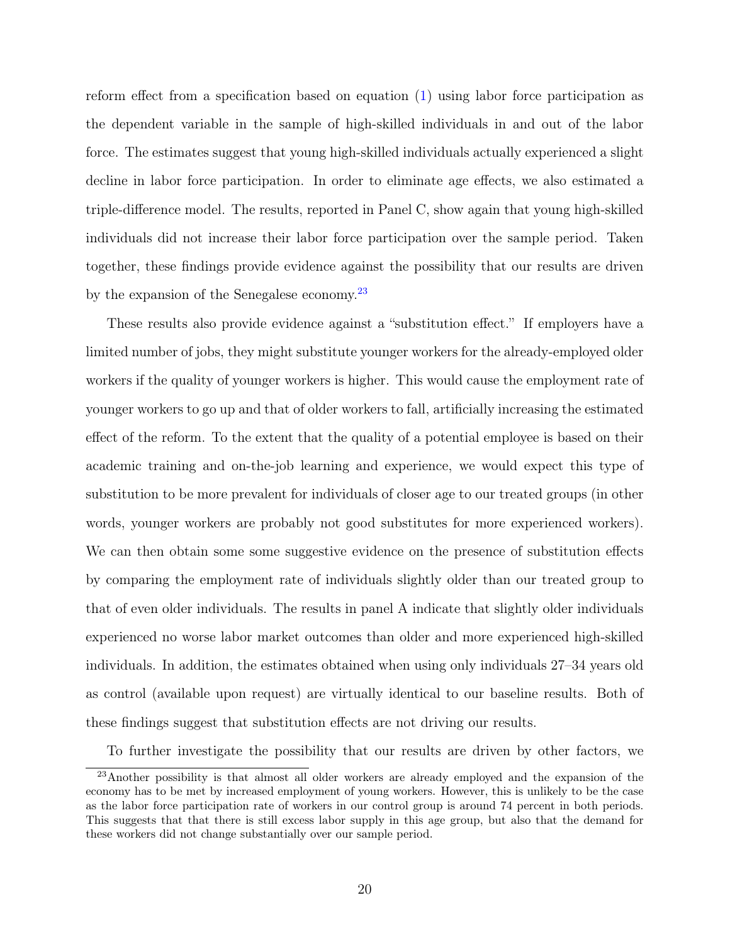reform effect from a specification based on equation [\(1\)](#page-12-2) using labor force participation as the dependent variable in the sample of high-skilled individuals in and out of the labor force. The estimates suggest that young high-skilled individuals actually experienced a slight decline in labor force participation. In order to eliminate age effects, we also estimated a triple-difference model. The results, reported in Panel C, show again that young high-skilled individuals did not increase their labor force participation over the sample period. Taken together, these findings provide evidence against the possibility that our results are driven by the expansion of the Senegalese economy.[23](#page-22-0)

These results also provide evidence against a "substitution effect." If employers have a limited number of jobs, they might substitute younger workers for the already-employed older workers if the quality of younger workers is higher. This would cause the employment rate of younger workers to go up and that of older workers to fall, artificially increasing the estimated effect of the reform. To the extent that the quality of a potential employee is based on their academic training and on-the-job learning and experience, we would expect this type of substitution to be more prevalent for individuals of closer age to our treated groups (in other words, younger workers are probably not good substitutes for more experienced workers). We can then obtain some some suggestive evidence on the presence of substitution effects by comparing the employment rate of individuals slightly older than our treated group to that of even older individuals. The results in panel A indicate that slightly older individuals experienced no worse labor market outcomes than older and more experienced high-skilled individuals. In addition, the estimates obtained when using only individuals 27–34 years old as control (available upon request) are virtually identical to our baseline results. Both of these findings suggest that substitution effects are not driving our results.

<span id="page-22-0"></span>To further investigate the possibility that our results are driven by other factors, we

<sup>23</sup>Another possibility is that almost all older workers are already employed and the expansion of the economy has to be met by increased employment of young workers. However, this is unlikely to be the case as the labor force participation rate of workers in our control group is around 74 percent in both periods. This suggests that that there is still excess labor supply in this age group, but also that the demand for these workers did not change substantially over our sample period.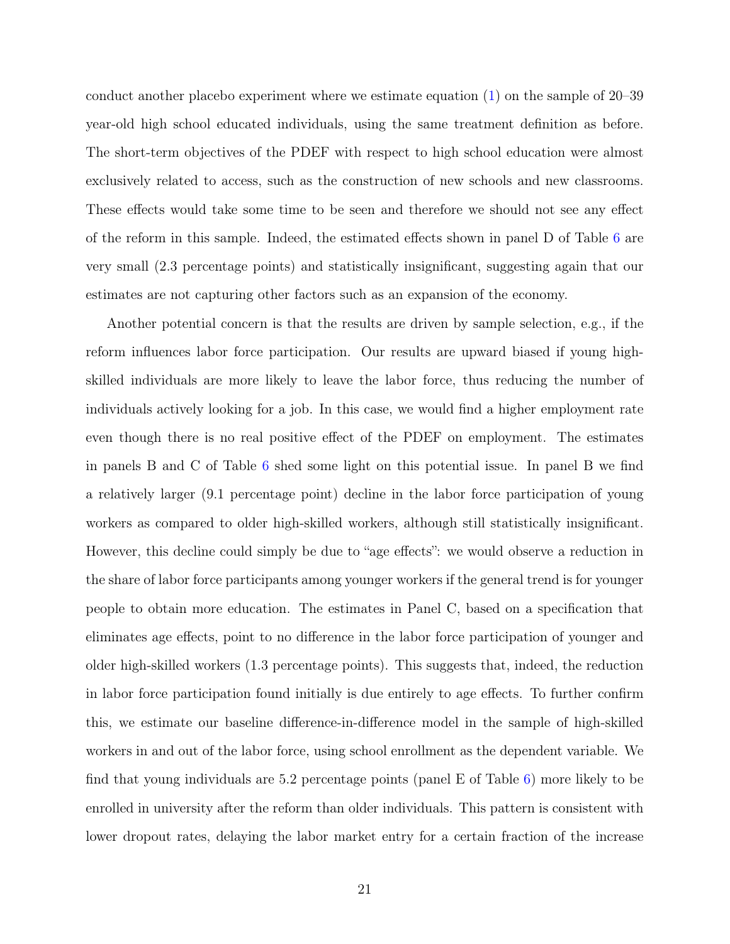conduct another placebo experiment where we estimate equation [\(1\)](#page-12-2) on the sample of 20–39 year-old high school educated individuals, using the same treatment definition as before. The short-term objectives of the PDEF with respect to high school education were almost exclusively related to access, such as the construction of new schools and new classrooms. These effects would take some time to be seen and therefore we should not see any effect of the reform in this sample. Indeed, the estimated effects shown in panel D of Table [6](#page-42-0) are very small (2.3 percentage points) and statistically insignificant, suggesting again that our estimates are not capturing other factors such as an expansion of the economy.

Another potential concern is that the results are driven by sample selection, e.g., if the reform influences labor force participation. Our results are upward biased if young highskilled individuals are more likely to leave the labor force, thus reducing the number of individuals actively looking for a job. In this case, we would find a higher employment rate even though there is no real positive effect of the PDEF on employment. The estimates in panels B and C of Table [6](#page-42-0) shed some light on this potential issue. In panel B we find a relatively larger (9.1 percentage point) decline in the labor force participation of young workers as compared to older high-skilled workers, although still statistically insignificant. However, this decline could simply be due to "age effects": we would observe a reduction in the share of labor force participants among younger workers if the general trend is for younger people to obtain more education. The estimates in Panel C, based on a specification that eliminates age effects, point to no difference in the labor force participation of younger and older high-skilled workers (1.3 percentage points). This suggests that, indeed, the reduction in labor force participation found initially is due entirely to age effects. To further confirm this, we estimate our baseline difference-in-difference model in the sample of high-skilled workers in and out of the labor force, using school enrollment as the dependent variable. We find that young individuals are 5.2 percentage points (panel E of Table [6\)](#page-42-0) more likely to be enrolled in university after the reform than older individuals. This pattern is consistent with lower dropout rates, delaying the labor market entry for a certain fraction of the increase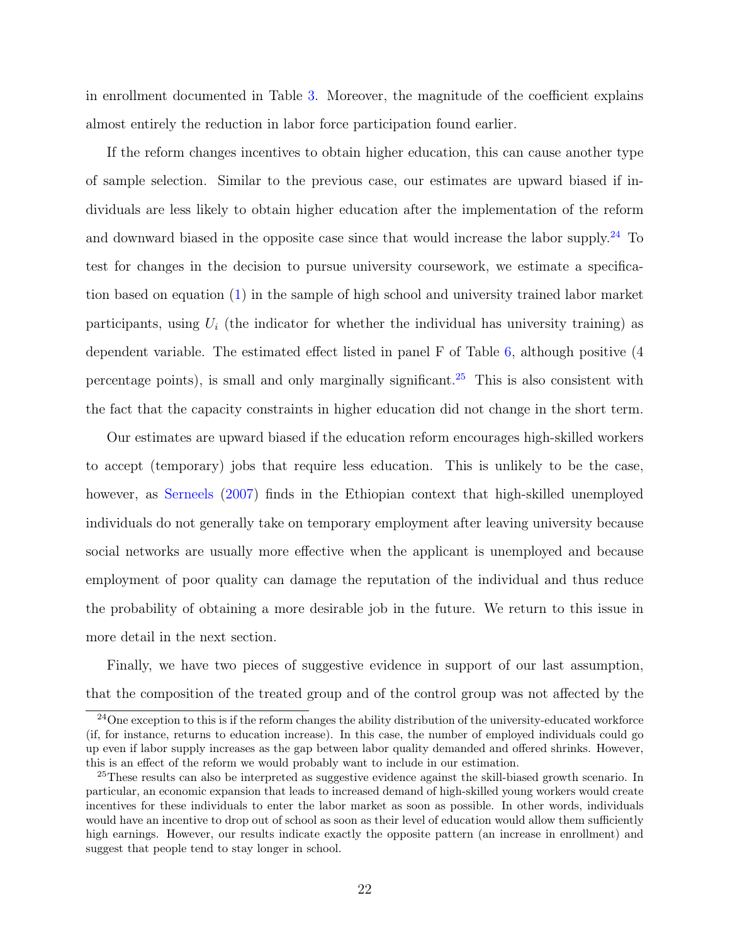in enrollment documented in Table [3.](#page-39-0) Moreover, the magnitude of the coefficient explains almost entirely the reduction in labor force participation found earlier.

If the reform changes incentives to obtain higher education, this can cause another type of sample selection. Similar to the previous case, our estimates are upward biased if individuals are less likely to obtain higher education after the implementation of the reform and downward biased in the opposite case since that would increase the labor supply.<sup>[24](#page-24-0)</sup> To test for changes in the decision to pursue university coursework, we estimate a specification based on equation [\(1\)](#page-12-2) in the sample of high school and university trained labor market participants, using  $U_i$  (the indicator for whether the individual has university training) as dependent variable. The estimated effect listed in panel F of Table [6,](#page-42-0) although positive (4 percentage points), is small and only marginally significant.<sup>[25](#page-24-1)</sup> This is also consistent with the fact that the capacity constraints in higher education did not change in the short term.

Our estimates are upward biased if the education reform encourages high-skilled workers to accept (temporary) jobs that require less education. This is unlikely to be the case, however, as [Serneels](#page-35-3) [\(2007\)](#page-35-3) finds in the Ethiopian context that high-skilled unemployed individuals do not generally take on temporary employment after leaving university because social networks are usually more effective when the applicant is unemployed and because employment of poor quality can damage the reputation of the individual and thus reduce the probability of obtaining a more desirable job in the future. We return to this issue in more detail in the next section.

Finally, we have two pieces of suggestive evidence in support of our last assumption, that the composition of the treated group and of the control group was not affected by the

<span id="page-24-0"></span><sup>&</sup>lt;sup>24</sup>One exception to this is if the reform changes the ability distribution of the university-educated workforce (if, for instance, returns to education increase). In this case, the number of employed individuals could go up even if labor supply increases as the gap between labor quality demanded and offered shrinks. However, this is an effect of the reform we would probably want to include in our estimation.

<span id="page-24-1"></span><sup>&</sup>lt;sup>25</sup>These results can also be interpreted as suggestive evidence against the skill-biased growth scenario. In particular, an economic expansion that leads to increased demand of high-skilled young workers would create incentives for these individuals to enter the labor market as soon as possible. In other words, individuals would have an incentive to drop out of school as soon as their level of education would allow them sufficiently high earnings. However, our results indicate exactly the opposite pattern (an increase in enrollment) and suggest that people tend to stay longer in school.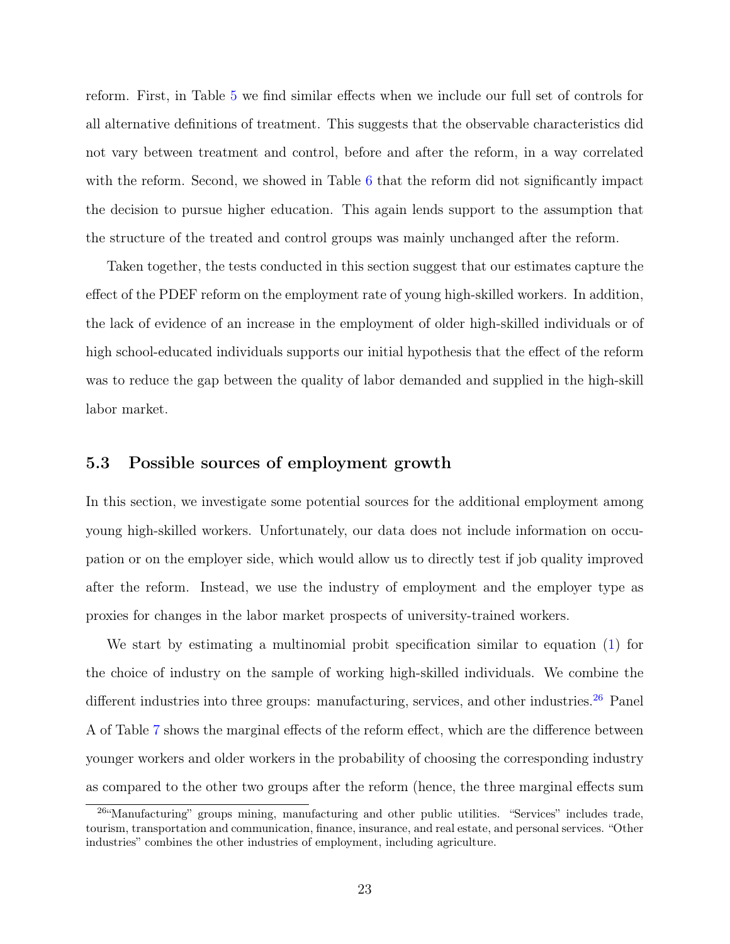reform. First, in Table [5](#page-41-0) we find similar effects when we include our full set of controls for all alternative definitions of treatment. This suggests that the observable characteristics did not vary between treatment and control, before and after the reform, in a way correlated with the reform. Second, we showed in Table [6](#page-42-0) that the reform did not significantly impact the decision to pursue higher education. This again lends support to the assumption that the structure of the treated and control groups was mainly unchanged after the reform.

Taken together, the tests conducted in this section suggest that our estimates capture the effect of the PDEF reform on the employment rate of young high-skilled workers. In addition, the lack of evidence of an increase in the employment of older high-skilled individuals or of high school-educated individuals supports our initial hypothesis that the effect of the reform was to reduce the gap between the quality of labor demanded and supplied in the high-skill labor market.

#### 5.3 Possible sources of employment growth

In this section, we investigate some potential sources for the additional employment among young high-skilled workers. Unfortunately, our data does not include information on occupation or on the employer side, which would allow us to directly test if job quality improved after the reform. Instead, we use the industry of employment and the employer type as proxies for changes in the labor market prospects of university-trained workers.

We start by estimating a multinomial probit specification similar to equation [\(1\)](#page-12-2) for the choice of industry on the sample of working high-skilled individuals. We combine the different industries into three groups: manufacturing, services, and other industries.<sup>[26](#page-25-0)</sup> Panel A of Table [7](#page-43-0) shows the marginal effects of the reform effect, which are the difference between younger workers and older workers in the probability of choosing the corresponding industry as compared to the other two groups after the reform (hence, the three marginal effects sum

<span id="page-25-0"></span><sup>26</sup>"Manufacturing" groups mining, manufacturing and other public utilities. "Services" includes trade, tourism, transportation and communication, finance, insurance, and real estate, and personal services. "Other industries" combines the other industries of employment, including agriculture.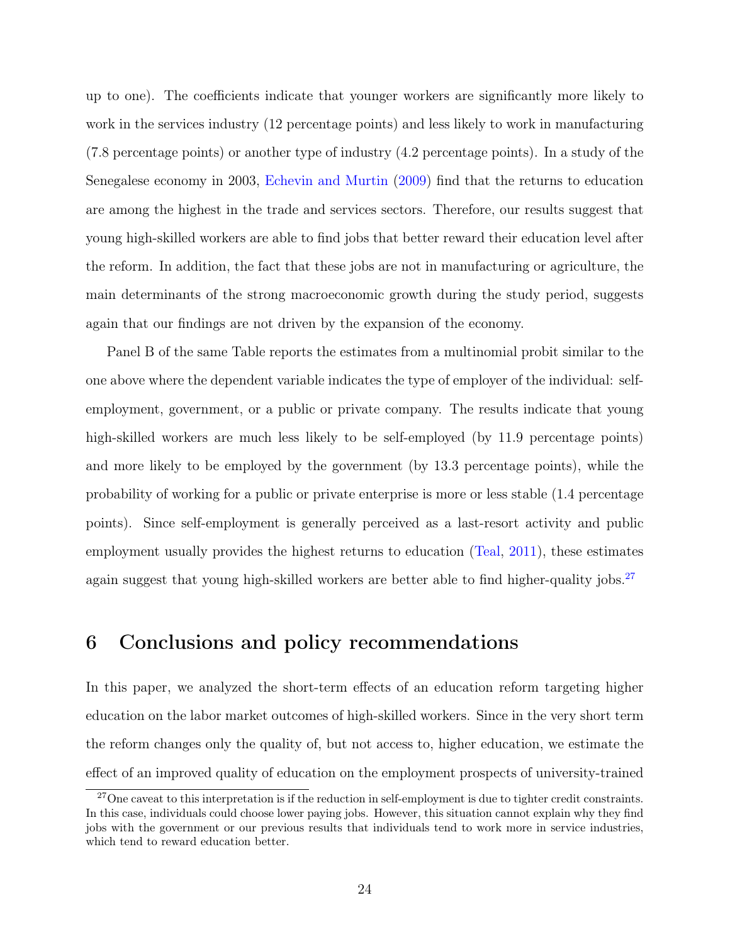up to one). The coefficients indicate that younger workers are significantly more likely to work in the services industry (12 percentage points) and less likely to work in manufacturing (7.8 percentage points) or another type of industry (4.2 percentage points). In a study of the Senegalese economy in 2003, [Echevin and Murtin](#page-32-7) [\(2009\)](#page-32-7) find that the returns to education are among the highest in the trade and services sectors. Therefore, our results suggest that young high-skilled workers are able to find jobs that better reward their education level after the reform. In addition, the fact that these jobs are not in manufacturing or agriculture, the main determinants of the strong macroeconomic growth during the study period, suggests again that our findings are not driven by the expansion of the economy.

Panel B of the same Table reports the estimates from a multinomial probit similar to the one above where the dependent variable indicates the type of employer of the individual: selfemployment, government, or a public or private company. The results indicate that young high-skilled workers are much less likely to be self-employed (by 11.9 percentage points) and more likely to be employed by the government (by 13.3 percentage points), while the probability of working for a public or private enterprise is more or less stable (1.4 percentage points). Since self-employment is generally perceived as a last-resort activity and public employment usually provides the highest returns to education [\(Teal,](#page-35-4) [2011\)](#page-35-4), these estimates again suggest that young high-skilled workers are better able to find higher-quality jobs.<sup>[27](#page-26-1)</sup>

#### <span id="page-26-0"></span>6 Conclusions and policy recommendations

In this paper, we analyzed the short-term effects of an education reform targeting higher education on the labor market outcomes of high-skilled workers. Since in the very short term the reform changes only the quality of, but not access to, higher education, we estimate the effect of an improved quality of education on the employment prospects of university-trained

<span id="page-26-1"></span><sup>&</sup>lt;sup>27</sup>One caveat to this interpretation is if the reduction in self-employment is due to tighter credit constraints. In this case, individuals could choose lower paying jobs. However, this situation cannot explain why they find jobs with the government or our previous results that individuals tend to work more in service industries, which tend to reward education better.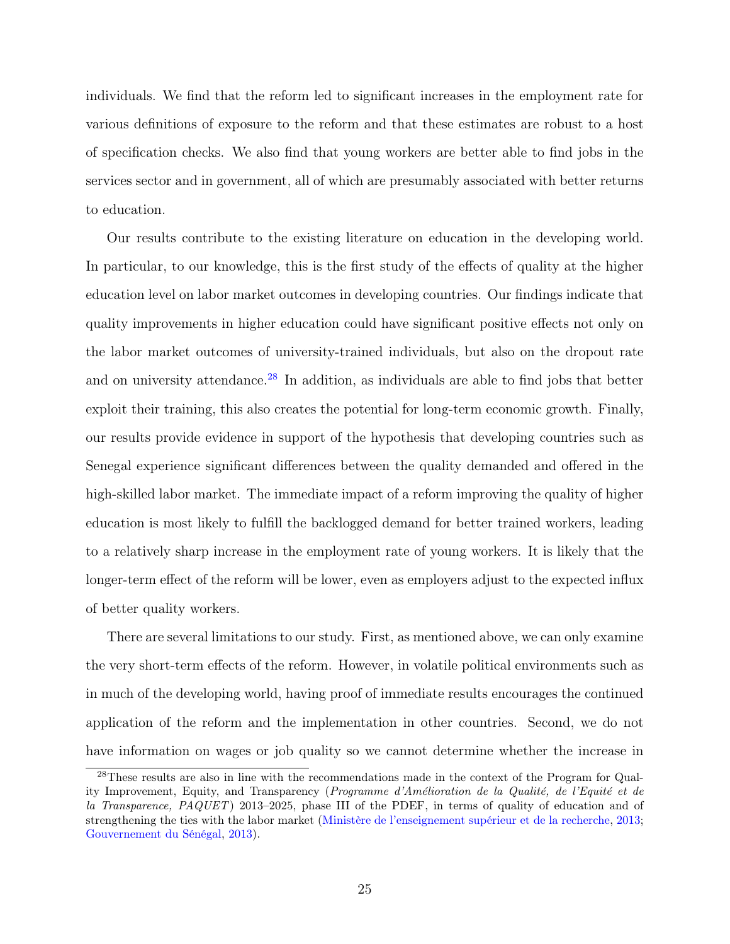individuals. We find that the reform led to significant increases in the employment rate for various definitions of exposure to the reform and that these estimates are robust to a host of specification checks. We also find that young workers are better able to find jobs in the services sector and in government, all of which are presumably associated with better returns to education.

Our results contribute to the existing literature on education in the developing world. In particular, to our knowledge, this is the first study of the effects of quality at the higher education level on labor market outcomes in developing countries. Our findings indicate that quality improvements in higher education could have significant positive effects not only on the labor market outcomes of university-trained individuals, but also on the dropout rate and on university attendance.<sup>[28](#page-27-0)</sup> In addition, as individuals are able to find jobs that better exploit their training, this also creates the potential for long-term economic growth. Finally, our results provide evidence in support of the hypothesis that developing countries such as Senegal experience significant differences between the quality demanded and offered in the high-skilled labor market. The immediate impact of a reform improving the quality of higher education is most likely to fulfill the backlogged demand for better trained workers, leading to a relatively sharp increase in the employment rate of young workers. It is likely that the longer-term effect of the reform will be lower, even as employers adjust to the expected influx of better quality workers.

There are several limitations to our study. First, as mentioned above, we can only examine the very short-term effects of the reform. However, in volatile political environments such as in much of the developing world, having proof of immediate results encourages the continued application of the reform and the implementation in other countries. Second, we do not have information on wages or job quality so we cannot determine whether the increase in

<span id="page-27-0"></span><sup>&</sup>lt;sup>28</sup>These results are also in line with the recommendations made in the context of the Program for Quality Improvement, Equity, and Transparency (Programme d'Amélioration de la Qualité, de l'Equité et de la Transparence, PAQUET) 2013-2025, phase III of the PDEF, in terms of quality of education and of strengthening the ties with the labor market [\(Ministère de l'enseignement supérieur et de la recherche,](#page-34-10) [2013;](#page-34-10) [Gouvernement du Sénégal,](#page-32-8) [2013\)](#page-32-8).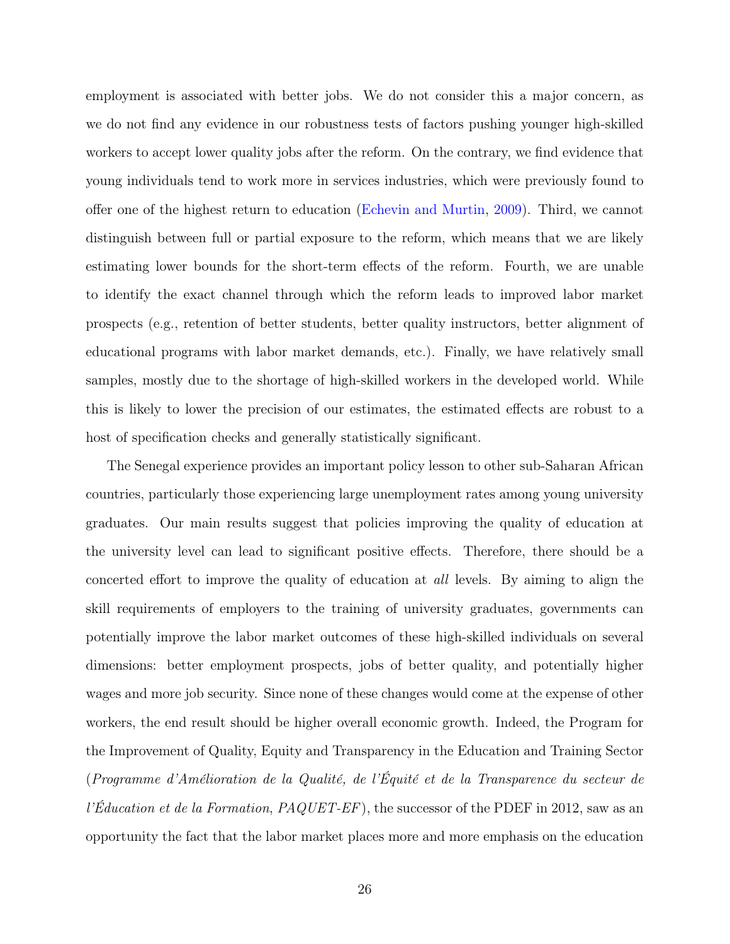employment is associated with better jobs. We do not consider this a major concern, as we do not find any evidence in our robustness tests of factors pushing younger high-skilled workers to accept lower quality jobs after the reform. On the contrary, we find evidence that young individuals tend to work more in services industries, which were previously found to offer one of the highest return to education [\(Echevin and Murtin,](#page-32-7) [2009\)](#page-32-7). Third, we cannot distinguish between full or partial exposure to the reform, which means that we are likely estimating lower bounds for the short-term effects of the reform. Fourth, we are unable to identify the exact channel through which the reform leads to improved labor market prospects (e.g., retention of better students, better quality instructors, better alignment of educational programs with labor market demands, etc.). Finally, we have relatively small samples, mostly due to the shortage of high-skilled workers in the developed world. While this is likely to lower the precision of our estimates, the estimated effects are robust to a host of specification checks and generally statistically significant.

The Senegal experience provides an important policy lesson to other sub-Saharan African countries, particularly those experiencing large unemployment rates among young university graduates. Our main results suggest that policies improving the quality of education at the university level can lead to significant positive effects. Therefore, there should be a concerted effort to improve the quality of education at all levels. By aiming to align the skill requirements of employers to the training of university graduates, governments can potentially improve the labor market outcomes of these high-skilled individuals on several dimensions: better employment prospects, jobs of better quality, and potentially higher wages and more job security. Since none of these changes would come at the expense of other workers, the end result should be higher overall economic growth. Indeed, the Program for the Improvement of Quality, Equity and Transparency in the Education and Training Sector (Programme d'Amélioration de la Qualité, de l'Équité et de la Transparence du secteur de l'Education et de la Formation,  $PAQUET-EF$ , the successor of the PDEF in 2012, saw as an opportunity the fact that the labor market places more and more emphasis on the education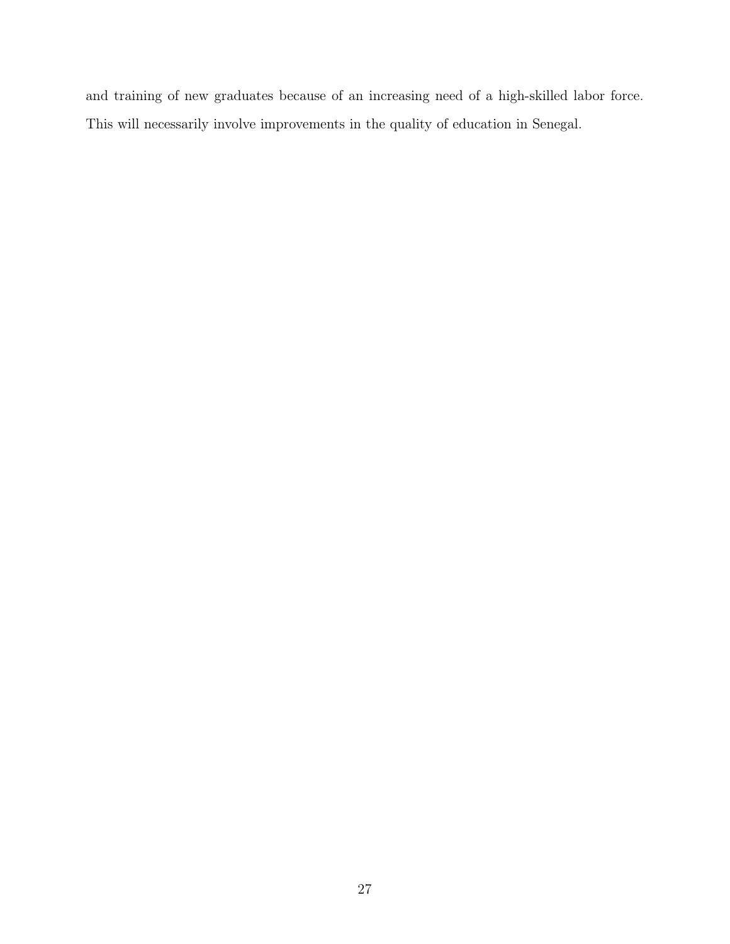and training of new graduates because of an increasing need of a high-skilled labor force. This will necessarily involve improvements in the quality of education in Senegal.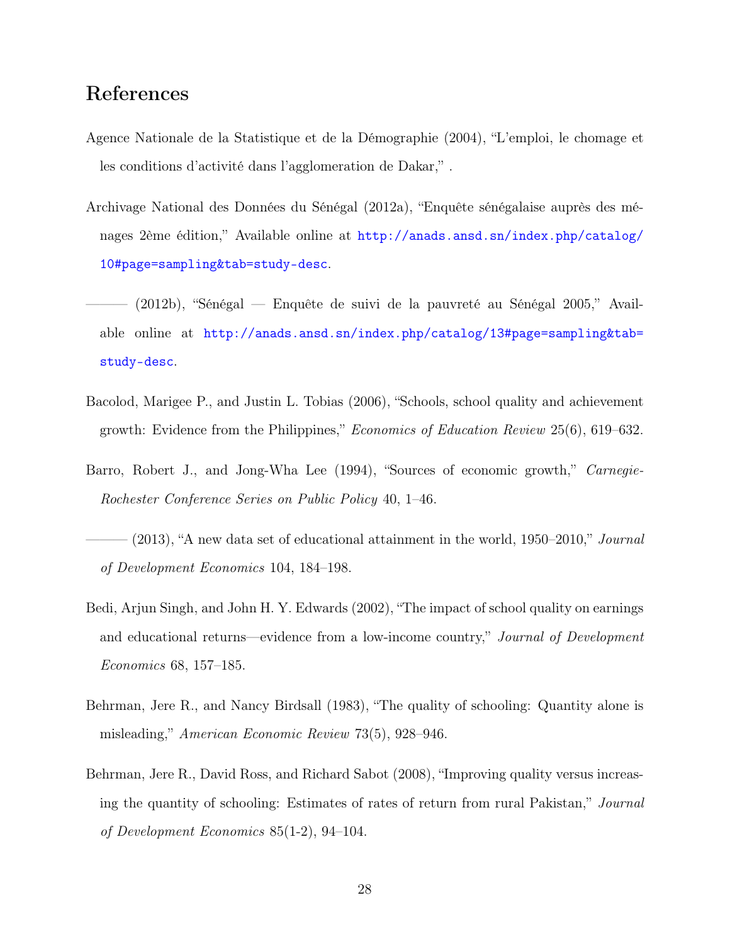### References

- <span id="page-30-8"></span>Agence Nationale de la Statistique et de la Démographie (2004), "L'emploi, le chomage et les conditions d'activité dans l'agglomeration de Dakar," .
- <span id="page-30-6"></span>Archivage National des Données du Sénégal (2012a), "Enquête sénégalaise auprès des ménages 2ème édition," Available online at [http://anads.ansd.sn/index.php/catalog/](http://anads.ansd.sn/index.php/catalog/10#page=sampling&tab=study-desc) [10#page=sampling&tab=study-desc](http://anads.ansd.sn/index.php/catalog/10#page=sampling&tab=study-desc).
- <span id="page-30-7"></span>——— (2012b), "Sénégal — Enquête de suivi de la pauvreté au Sénégal 2005," Available online at [http://anads.ansd.sn/index.php/catalog/13#page=sampling&tab=](http://anads.ansd.sn/index.php/catalog/13# page=sampling&tab=study-desc) [study-desc](http://anads.ansd.sn/index.php/catalog/13# page=sampling&tab=study-desc).
- <span id="page-30-5"></span>Bacolod, Marigee P., and Justin L. Tobias (2006), "Schools, school quality and achievement growth: Evidence from the Philippines," Economics of Education Review 25(6), 619–632.
- <span id="page-30-0"></span>Barro, Robert J., and Jong-Wha Lee (1994), "Sources of economic growth," Carnegie-Rochester Conference Series on Public Policy 40, 1–46.
- <span id="page-30-1"></span> $(2013)$ , "A new data set of educational attainment in the world, 1950–2010," Journal of Development Economics 104, 184–198.
- <span id="page-30-3"></span>Bedi, Arjun Singh, and John H. Y. Edwards (2002), "The impact of school quality on earnings and educational returns—evidence from a low-income country," Journal of Development Economics 68, 157–185.
- <span id="page-30-2"></span>Behrman, Jere R., and Nancy Birdsall (1983), "The quality of schooling: Quantity alone is misleading," American Economic Review 73(5), 928–946.
- <span id="page-30-4"></span>Behrman, Jere R., David Ross, and Richard Sabot (2008), "Improving quality versus increasing the quantity of schooling: Estimates of rates of return from rural Pakistan," Journal of Development Economics 85(1-2), 94–104.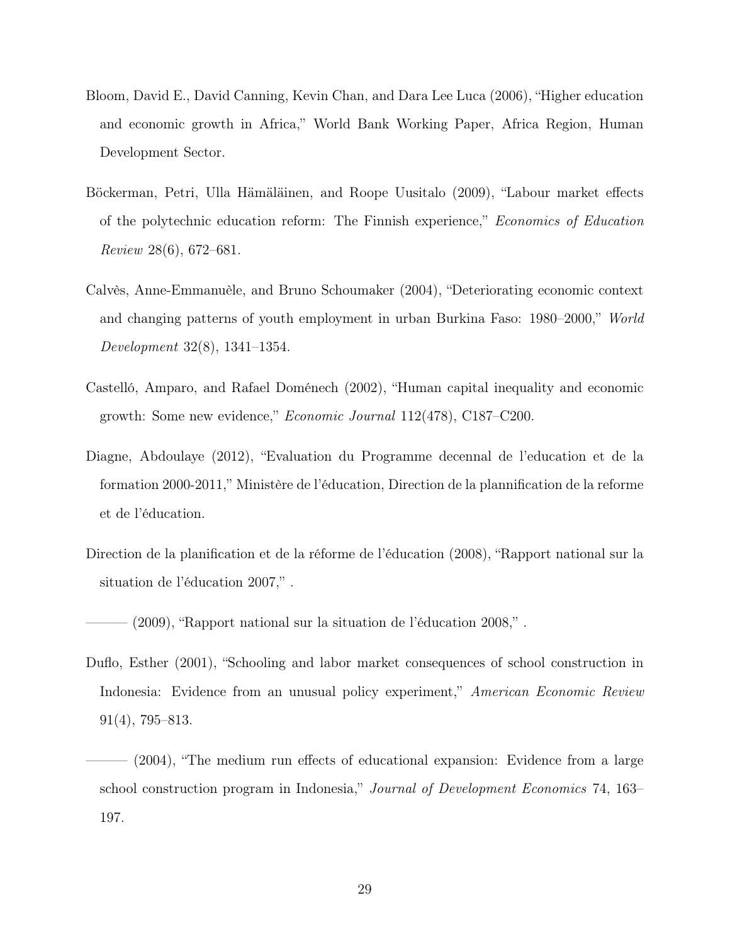- <span id="page-31-2"></span>Bloom, David E., David Canning, Kevin Chan, and Dara Lee Luca (2006), "Higher education and economic growth in Africa," World Bank Working Paper, Africa Region, Human Development Sector.
- <span id="page-31-5"></span>Böckerman, Petri, Ulla Hämäläinen, and Roope Uusitalo (2009), "Labour market effects of the polytechnic education reform: The Finnish experience," Economics of Education Review 28(6), 672–681.
- <span id="page-31-4"></span>Calvès, Anne-Emmanuèle, and Bruno Schoumaker (2004), "Deteriorating economic context and changing patterns of youth employment in urban Burkina Faso: 1980–2000," World Development 32(8), 1341–1354.
- <span id="page-31-3"></span>Castelló, Amparo, and Rafael Doménech (2002), "Human capital inequality and economic growth: Some new evidence," Economic Journal 112(478), C187–C200.
- <span id="page-31-8"></span>Diagne, Abdoulaye (2012), "Evaluation du Programme decennal de l'education et de la formation 2000-2011," Ministère de l'éducation, Direction de la plannification de la reforme et de l'éducation.
- <span id="page-31-7"></span>Direction de la planification et de la réforme de l'éducation (2008), "Rapport national sur la situation de l'éducation 2007," .

<span id="page-31-6"></span>——— (2009), "Rapport national sur la situation de l'éducation 2008," .

<span id="page-31-0"></span>Duflo, Esther (2001), "Schooling and labor market consequences of school construction in Indonesia: Evidence from an unusual policy experiment," American Economic Review 91(4), 795–813.

<span id="page-31-1"></span> $(2004)$ , "The medium run effects of educational expansion: Evidence from a large school construction program in Indonesia," Journal of Development Economics 74, 163– 197.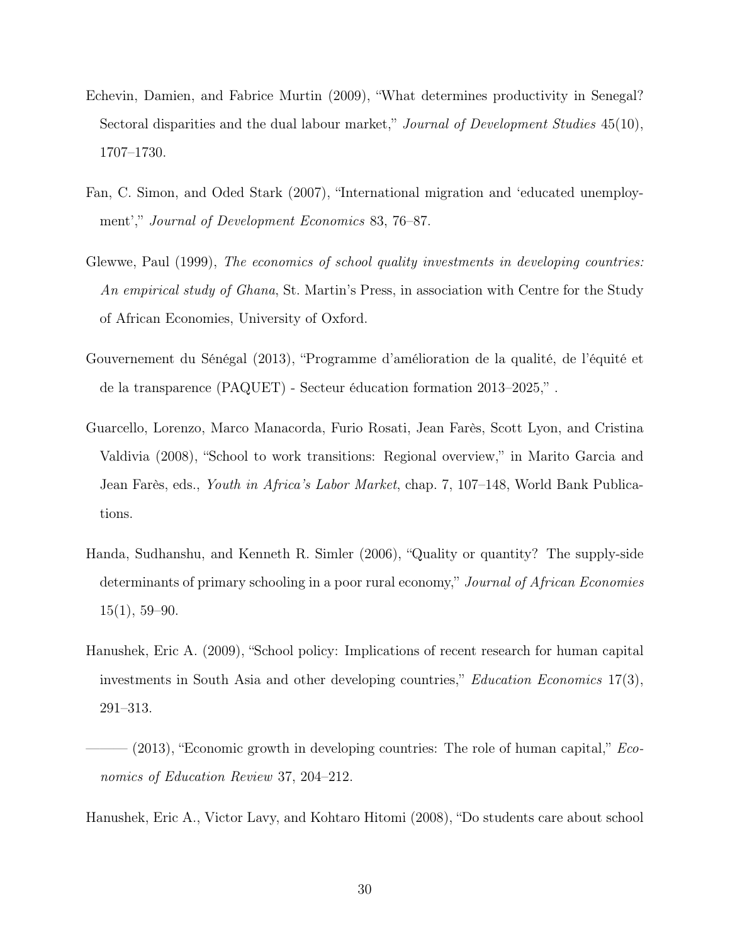- <span id="page-32-7"></span>Echevin, Damien, and Fabrice Murtin (2009), "What determines productivity in Senegal? Sectoral disparities and the dual labour market," Journal of Development Studies 45(10), 1707–1730.
- <span id="page-32-6"></span>Fan, C. Simon, and Oded Stark (2007), "International migration and 'educated unemployment'," Journal of Development Economics 83, 76–87.
- <span id="page-32-2"></span>Glewwe, Paul (1999), The economics of school quality investments in developing countries: An empirical study of Ghana, St. Martin's Press, in association with Centre for the Study of African Economies, University of Oxford.
- <span id="page-32-8"></span>Gouvernement du Sénégal (2013), "Programme d'amélioration de la qualité, de l'équité et de la transparence (PAQUET) - Secteur éducation formation 2013–2025," .
- <span id="page-32-5"></span>Guarcello, Lorenzo, Marco Manacorda, Furio Rosati, Jean Farès, Scott Lyon, and Cristina Valdivia (2008), "School to work transitions: Regional overview," in Marito Garcia and Jean Farès, eds., Youth in Africa's Labor Market, chap. 7, 107–148, World Bank Publications.
- <span id="page-32-3"></span>Handa, Sudhanshu, and Kenneth R. Simler (2006), "Quality or quantity? The supply-side determinants of primary schooling in a poor rural economy," Journal of African Economies  $15(1), 59-90.$
- <span id="page-32-4"></span>Hanushek, Eric A. (2009), "School policy: Implications of recent research for human capital investments in South Asia and other developing countries," Education Economics 17(3), 291–313.
- <span id="page-32-0"></span> $(2013)$ , "Economic growth in developing countries: The role of human capital," *Eco*nomics of Education Review 37, 204–212.

<span id="page-32-1"></span>Hanushek, Eric A., Victor Lavy, and Kohtaro Hitomi (2008), "Do students care about school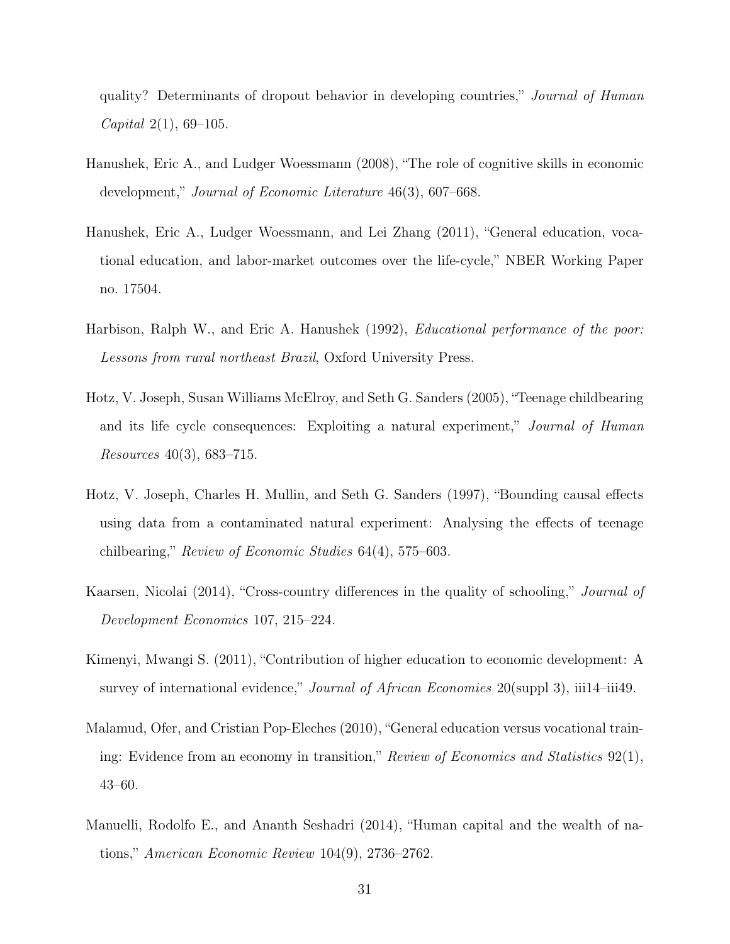quality? Determinants of dropout behavior in developing countries," Journal of Human *Capital* 2(1), 69–105.

- <span id="page-33-0"></span>Hanushek, Eric A., and Ludger Woessmann (2008), "The role of cognitive skills in economic development," Journal of Economic Literature 46(3), 607–668.
- <span id="page-33-5"></span>Hanushek, Eric A., Ludger Woessmann, and Lei Zhang (2011), "General education, vocational education, and labor-market outcomes over the life-cycle," NBER Working Paper no. 17504.
- <span id="page-33-3"></span>Harbison, Ralph W., and Eric A. Hanushek (1992), *Educational performance of the poor:* Lessons from rural northeast Brazil, Oxford University Press.
- <span id="page-33-8"></span>Hotz, V. Joseph, Susan Williams McElroy, and Seth G. Sanders (2005), "Teenage childbearing and its life cycle consequences: Exploiting a natural experiment," Journal of Human Resources 40(3), 683–715.
- <span id="page-33-7"></span>Hotz, V. Joseph, Charles H. Mullin, and Seth G. Sanders (1997), "Bounding causal effects using data from a contaminated natural experiment: Analysing the effects of teenage chilbearing," Review of Economic Studies 64(4), 575–603.
- <span id="page-33-1"></span>Kaarsen, Nicolai (2014), "Cross-country differences in the quality of schooling," Journal of Development Economics 107, 215–224.
- <span id="page-33-4"></span>Kimenyi, Mwangi S. (2011), "Contribution of higher education to economic development: A survey of international evidence," *Journal of African Economies* 20(suppl 3), iii14–iii49.
- <span id="page-33-6"></span>Malamud, Ofer, and Cristian Pop-Eleches (2010), "General education versus vocational training: Evidence from an economy in transition," Review of Economics and Statistics  $92(1)$ , 43–60.
- <span id="page-33-2"></span>Manuelli, Rodolfo E., and Ananth Seshadri (2014), "Human capital and the wealth of nations," American Economic Review 104(9), 2736–2762.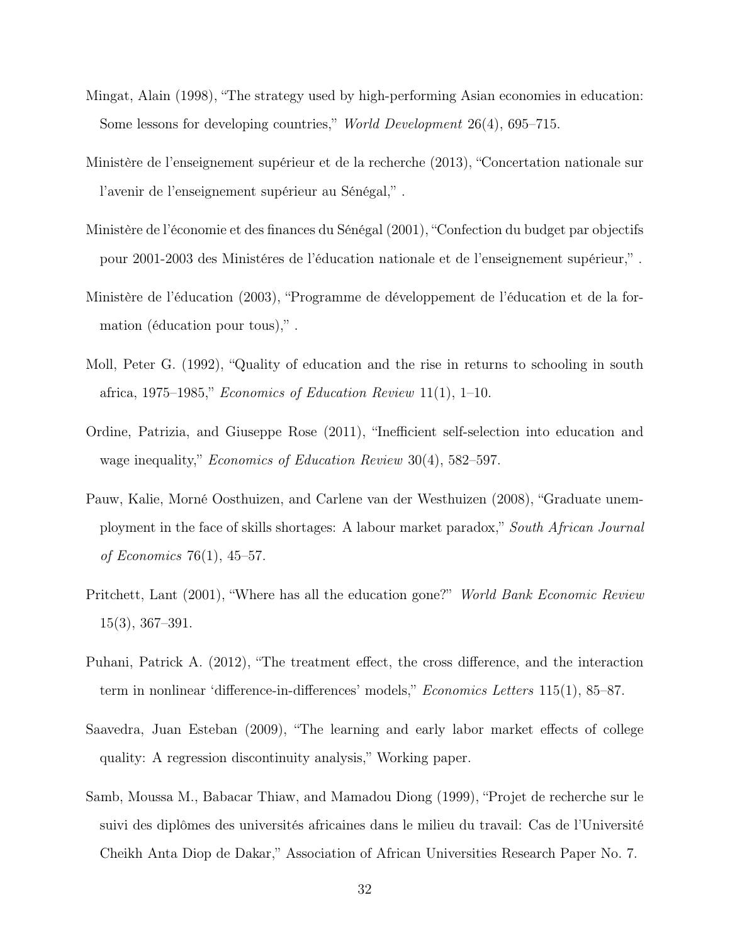- <span id="page-34-0"></span>Mingat, Alain (1998), "The strategy used by high-performing Asian economies in education: Some lessons for developing countries," World Development 26(4), 695–715.
- <span id="page-34-10"></span>Ministère de l'enseignement supérieur et de la recherche (2013), "Concertation nationale sur l'avenir de l'enseignement supérieur au Sénégal," .
- <span id="page-34-8"></span>Ministère de l'économie et des finances du Sénégal (2001), "Confection du budget par objectifs pour 2001-2003 des Ministéres de l'éducation nationale et de l'enseignement supérieur," .
- <span id="page-34-7"></span>Ministère de l'éducation (2003), "Programme de développement de l'éducation et de la formation (éducation pour tous)," .
- <span id="page-34-1"></span>Moll, Peter G. (1992), "Quality of education and the rise in returns to schooling in south africa, 1975–1985," Economics of Education Review 11(1), 1–10.
- <span id="page-34-4"></span>Ordine, Patrizia, and Giuseppe Rose (2011), "Inefficient self-selection into education and wage inequality," *Economics of Education Review* 30(4), 582–597.
- <span id="page-34-3"></span>Pauw, Kalie, Morné Oosthuizen, and Carlene van der Westhuizen (2008), "Graduate unemployment in the face of skills shortages: A labour market paradox," South African Journal of Economics 76(1), 45–57.
- <span id="page-34-2"></span>Pritchett, Lant (2001), "Where has all the education gone?" World Bank Economic Review 15(3), 367–391.
- <span id="page-34-9"></span>Puhani, Patrick A. (2012), "The treatment effect, the cross difference, and the interaction term in nonlinear 'difference-in-differences' models," Economics Letters 115(1), 85–87.
- <span id="page-34-5"></span>Saavedra, Juan Esteban (2009), "The learning and early labor market effects of college quality: A regression discontinuity analysis," Working paper.
- <span id="page-34-6"></span>Samb, Moussa M., Babacar Thiaw, and Mamadou Diong (1999), "Projet de recherche sur le suivi des diplômes des universités africaines dans le milieu du travail: Cas de l'Université Cheikh Anta Diop de Dakar," Association of African Universities Research Paper No. 7.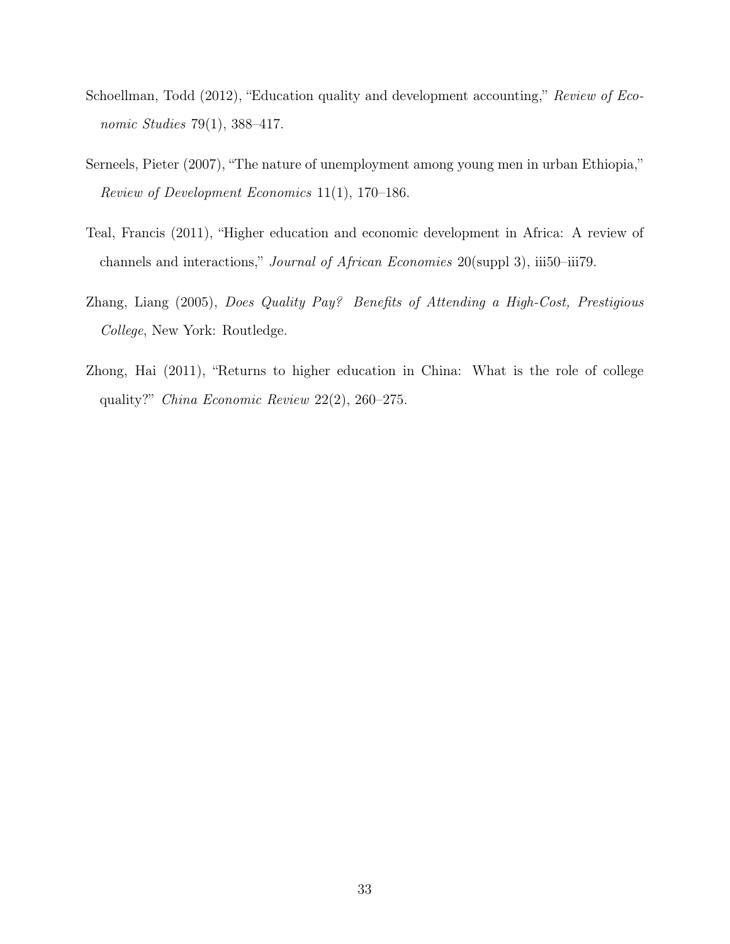- <span id="page-35-0"></span>Schoellman, Todd (2012), "Education quality and development accounting," Review of Economic Studies 79(1), 388-417.
- <span id="page-35-3"></span>Serneels, Pieter (2007), "The nature of unemployment among young men in urban Ethiopia," Review of Development Economics 11(1), 170–186.
- <span id="page-35-4"></span>Teal, Francis (2011), "Higher education and economic development in Africa: A review of channels and interactions," Journal of African Economies 20(suppl 3), iii50–iii79.
- <span id="page-35-2"></span>Zhang, Liang (2005), Does Quality Pay? Benefits of Attending a High-Cost, Prestigious College, New York: Routledge.
- <span id="page-35-1"></span>Zhong, Hai (2011), "Returns to higher education in China: What is the role of college quality?" China Economic Review 22(2), 260–275.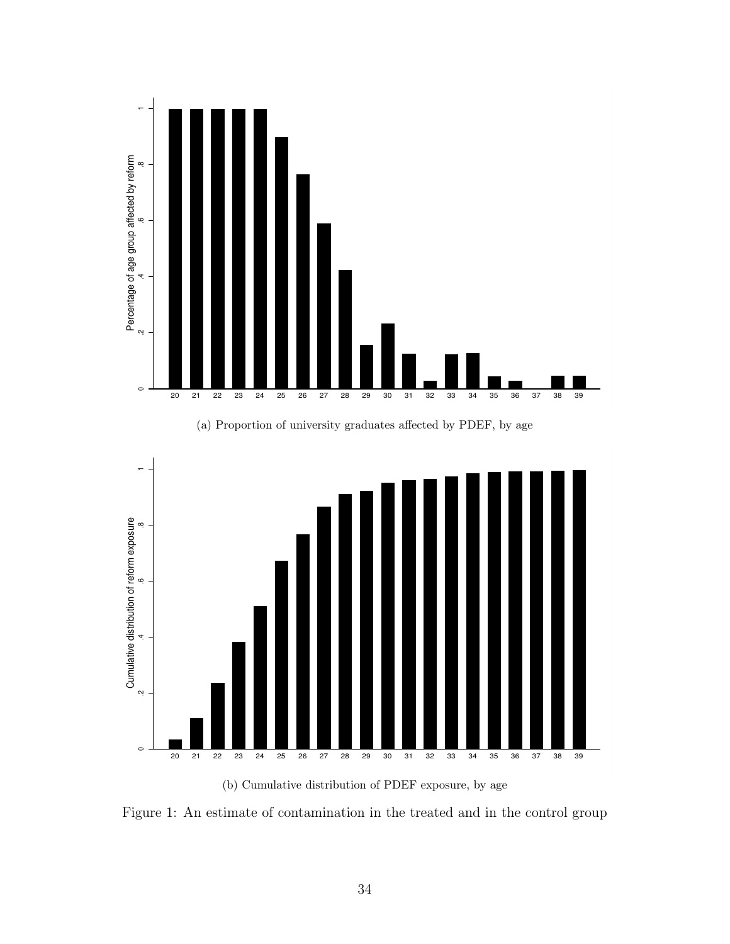<span id="page-36-0"></span>

(a) Proportion of university graduates affected by PDEF, by age

<span id="page-36-1"></span>

(b) Cumulative distribution of PDEF exposure, by age

Figure 1: An estimate of contamination in the treated and in the control group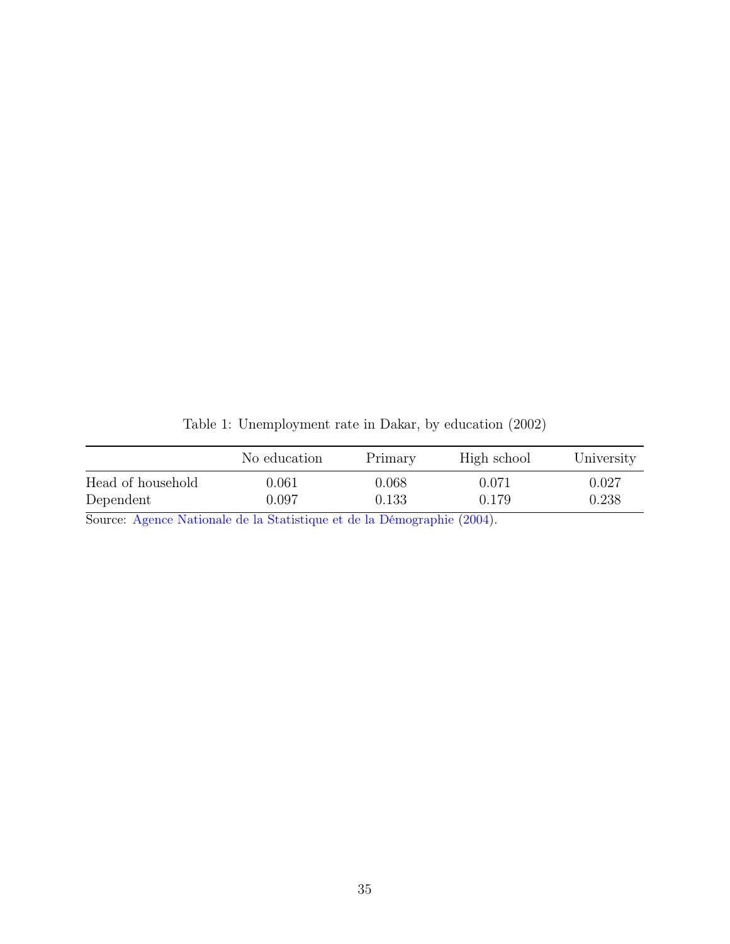Table 1: Unemployment rate in Dakar, by education (2002)

<span id="page-37-0"></span>

|                   | No education | Primary | High school | University |
|-------------------|--------------|---------|-------------|------------|
| Head of household | $\,0.061\,$  | 0.068   | 0.071       | 0.027      |
| Dependent         | 0.097        | 0.133   | 0.179       | 0.238      |

Source: [Agence Nationale de la Statistique et de la Démographie](#page-30-8) [\(2004\)](#page-30-8).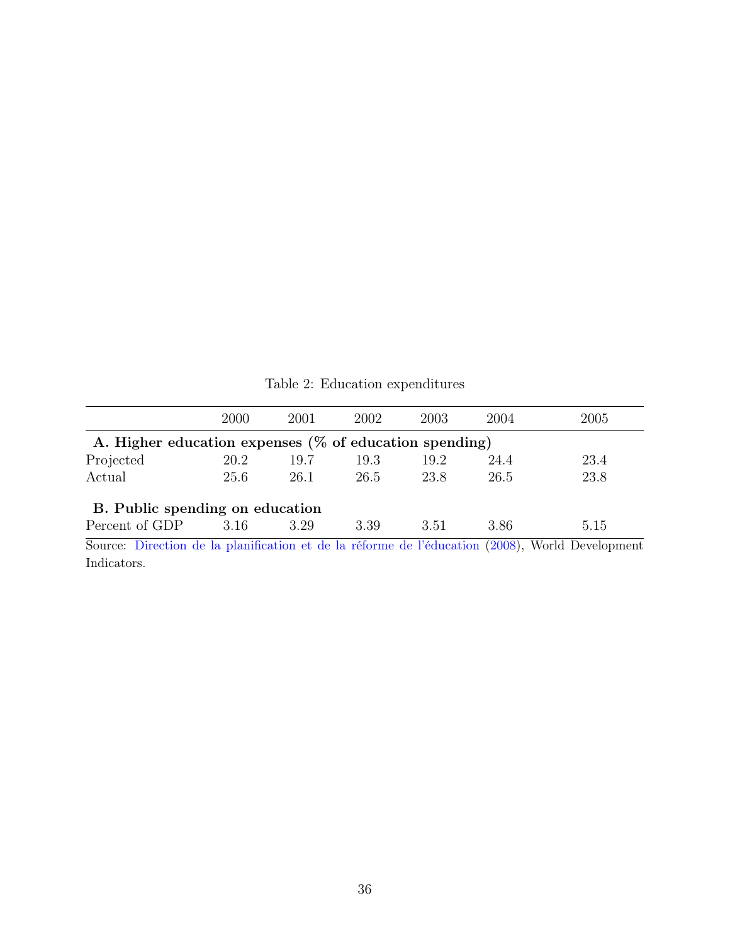<span id="page-38-0"></span>

|                                                                                                 | 2000 | 2001 | 2002 | 2003 | 2004 | 2005 |
|-------------------------------------------------------------------------------------------------|------|------|------|------|------|------|
| A. Higher education expenses $(\%$ of education spending)                                       |      |      |      |      |      |      |
| Projected                                                                                       | 20.2 | 19.7 | 19.3 | 19.2 | 24.4 | 23.4 |
| Actual                                                                                          | 25.6 | 26.1 | 26.5 | 23.8 | 26.5 | 23.8 |
| B. Public spending on education                                                                 |      |      |      |      |      |      |
| Percent of GDP                                                                                  | 3.16 | 3.29 | 3.39 | 3.51 | 3.86 | 5.15 |
| Source: Direction de la planification et de la réforme de l'éducation (2008), World Development |      |      |      |      |      |      |
| Indicators.                                                                                     |      |      |      |      |      |      |

Table 2: Education expenditures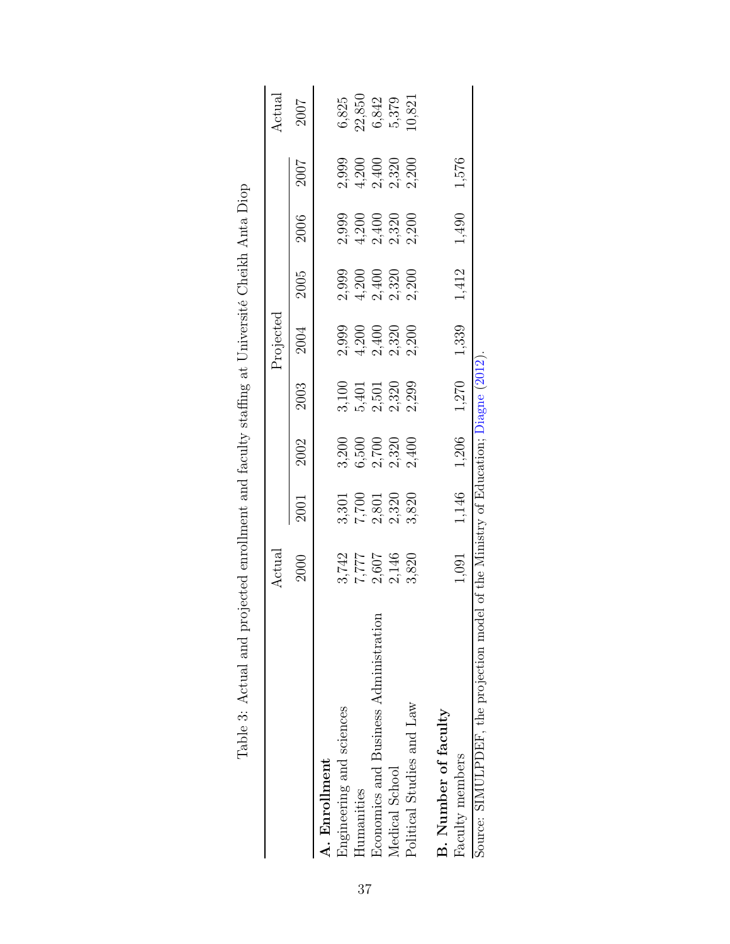<span id="page-39-0"></span>

|                                       | Actua <sup>:</sup>                        |                                                                          |                                           |                                           | Projected                                   |                                           |                                           |                                           | Actua <sup>1</sup>                                                        |
|---------------------------------------|-------------------------------------------|--------------------------------------------------------------------------|-------------------------------------------|-------------------------------------------|---------------------------------------------|-------------------------------------------|-------------------------------------------|-------------------------------------------|---------------------------------------------------------------------------|
|                                       | 2000                                      | 2001                                                                     | 2002                                      | 2003                                      | 2004                                        | 2005                                      | 2006                                      | 2007                                      | 2007                                                                      |
| A. Enrollment                         |                                           |                                                                          |                                           |                                           |                                             |                                           |                                           |                                           |                                                                           |
| Engineering and sciences              |                                           |                                                                          |                                           |                                           |                                             |                                           |                                           |                                           |                                                                           |
| Humanities                            |                                           |                                                                          |                                           |                                           |                                             |                                           |                                           |                                           |                                                                           |
| Economics and Business Administration | 3,742<br>7,777<br>2,607<br>2,146<br>3,820 |                                                                          | 3,200<br>6,500<br>2,320<br>2,400<br>2,400 | 3,100<br>5,401<br>2,501<br>2,320<br>2,299 |                                             | 2,999<br>4,200<br>4,400<br>2,320<br>2,200 | 2,999<br>2,200<br>2,320<br>2,320<br>2,200 | 2,999<br>4,200<br>4,400<br>2,320<br>2,200 | $\frac{6,825}{22,850}$<br>$\frac{25,850}{6,842}$<br>$\frac{6,842}{5,379}$ |
| Medical School                        |                                           |                                                                          |                                           |                                           |                                             |                                           |                                           |                                           |                                                                           |
| Political Studies and Law             |                                           | $\begin{array}{c} 3,301 \\ 7,700 \\ 2,320 \\ 2,320 \\ 3,820 \end{array}$ |                                           |                                           | 2,999<br>4,200<br>4,400<br>2,3200<br>2,2000 |                                           |                                           |                                           |                                                                           |
| B. Number of faculty                  |                                           |                                                                          |                                           |                                           |                                             |                                           |                                           |                                           |                                                                           |
| Faculty members                       | 1,091                                     | 1,146                                                                    | 1,206                                     | 1,270                                     | 1,339                                       | 1,412                                     | 1,490                                     | 1,576                                     |                                                                           |

| ì<br>ļ<br>I<br>$\mathbf$<br>$\vdots$<br>ا<br>ا<br>$\overline{\phantom{a}}$<br>:<br>7 | 1 |
|--------------------------------------------------------------------------------------|---|
| ו<br>ו<br>i<br>I<br>I<br>I<br>I<br>l<br>$-200$<br>;<br>;                             |   |
| $+0.11$                                                                              | ) |
| )<br>}<br>}<br>:                                                                     |   |
| ) ) = 11<br>  ) = 11<br>   <br>j                                                     |   |
| $\sim$ $\sim$ $\sim$ $\sim$<br>.<br>.<br>.<br>I<br>Î                                 | ı |
| $\vdots$                                                                             |   |
| I                                                                                    |   |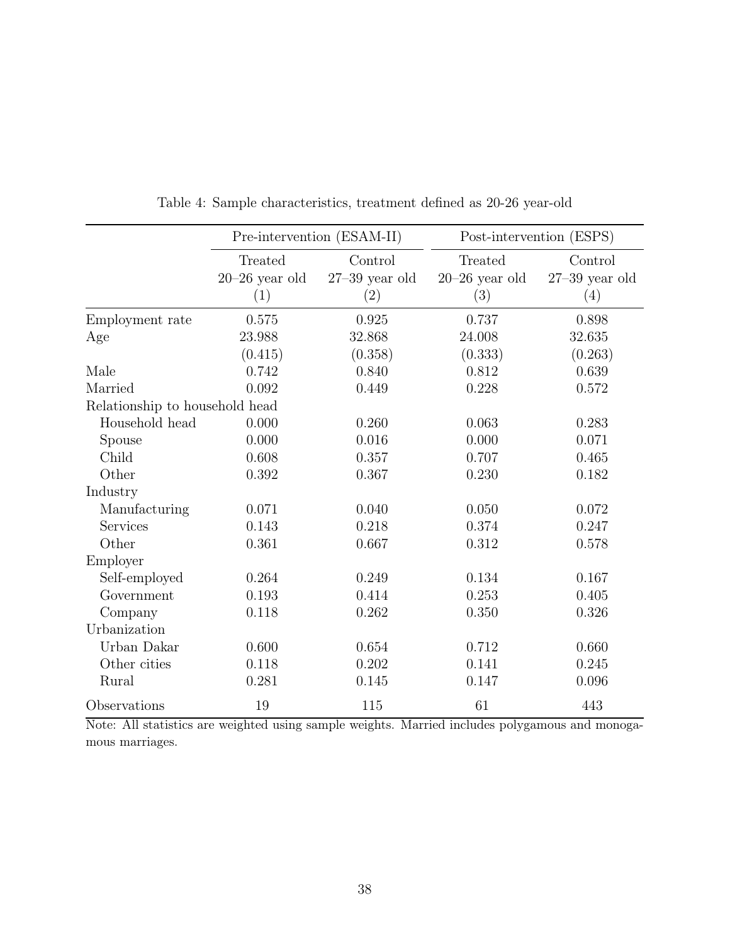<span id="page-40-0"></span>

|                                | Pre-intervention (ESAM-II) |                          | Post-intervention (ESPS) |                  |  |
|--------------------------------|----------------------------|--------------------------|--------------------------|------------------|--|
|                                | Treated                    | Control                  | Treated                  | Control          |  |
|                                | $20-26$ year old           | $27\text{--}39$ year old | $20-26$ year old         | $27-39$ year old |  |
|                                | (1)                        | (2)                      | (3)                      | (4)              |  |
| Employment rate                | 0.575                      | 0.925                    | 0.737                    | 0.898            |  |
| Age                            | 23.988                     | 32.868                   | 24.008                   | 32.635           |  |
|                                | (0.415)                    | (0.358)                  | (0.333)                  | (0.263)          |  |
| Male                           | 0.742                      | 0.840                    | 0.812                    | 0.639            |  |
| Married                        | 0.092                      | 0.449                    | 0.228                    | 0.572            |  |
| Relationship to household head |                            |                          |                          |                  |  |
| Household head                 | 0.000                      | 0.260                    | 0.063                    | 0.283            |  |
| Spouse                         | 0.000                      | 0.016                    | 0.000                    | 0.071            |  |
| Child                          | 0.608                      | 0.357                    | 0.707                    | 0.465            |  |
| Other                          | 0.392                      | 0.367                    | 0.230                    | 0.182            |  |
| Industry                       |                            |                          |                          |                  |  |
| Manufacturing                  | 0.071                      | 0.040                    | 0.050                    | 0.072            |  |
| Services                       | 0.143                      | 0.218                    | 0.374                    | 0.247            |  |
| Other                          | 0.361                      | 0.667                    | 0.312                    | 0.578            |  |
| Employer                       |                            |                          |                          |                  |  |
| Self-employed                  | 0.264                      | 0.249                    | 0.134                    | 0.167            |  |
| Government                     | 0.193                      | 0.414                    | 0.253                    | 0.405            |  |
| Company                        | 0.118                      | 0.262                    | 0.350                    | 0.326            |  |
| Urbanization                   |                            |                          |                          |                  |  |
| Urban Dakar                    | 0.600                      | 0.654                    | 0.712                    | 0.660            |  |
| Other cities                   | 0.118                      | 0.202                    | 0.141                    | 0.245            |  |
| Rural                          | 0.281                      | 0.145                    | 0.147                    | 0.096            |  |
| Observations                   | 19                         | 115                      | 61                       | 443              |  |

Table 4: Sample characteristics, treatment defined as 20-26 year-old

Note: All statistics are weighted using sample weights. Married includes polygamous and monogamous marriages.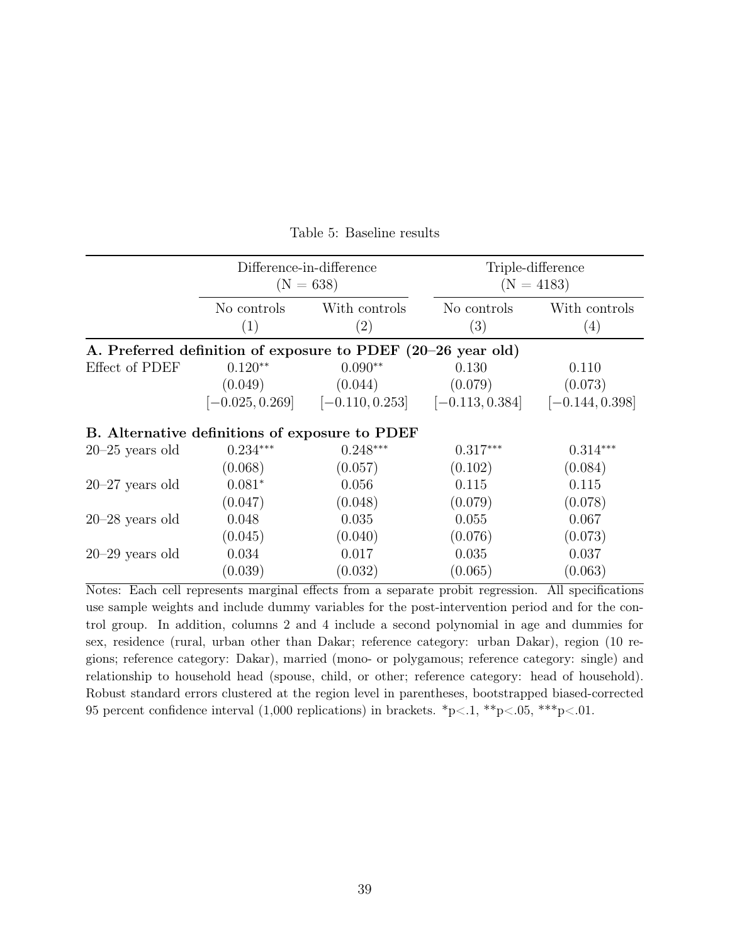<span id="page-41-0"></span>

|                   | Difference-in-difference<br>$(N = 638)$   |                                                              |                                                         | Triple-difference<br>$(N = 4183)$     |
|-------------------|-------------------------------------------|--------------------------------------------------------------|---------------------------------------------------------|---------------------------------------|
|                   | No controls                               | With controls                                                | No controls                                             | With controls                         |
|                   | (1)                                       | (2)                                                          | (3)                                                     | (4)                                   |
|                   |                                           | A. Preferred definition of exposure to PDEF (20-26 year old) |                                                         |                                       |
| Effect of PDEF    | $0.120**$<br>(0.049)<br>$[-0.025, 0.269]$ | $0.090**$<br>(0.044)                                         | 0.130<br>(0.079)<br>$[-0.110, 0.253]$ $[-0.113, 0.384]$ | 0.110<br>(0.073)<br>$[-0.144, 0.398]$ |
|                   |                                           | B. Alternative definitions of exposure to PDEF               |                                                         |                                       |
| $20-25$ years old | $0.234***$                                | $0.248***$                                                   | $0.317***$                                              | $0.314***$                            |
|                   | (0.068)                                   | (0.057)                                                      | (0.102)                                                 | (0.084)                               |
| $20-27$ years old | $0.081*$                                  | 0.056                                                        | 0.115                                                   | 0.115                                 |
|                   | (0.047)                                   | (0.048)                                                      | (0.079)                                                 | (0.078)                               |
| $20-28$ years old | 0.048                                     | 0.035                                                        | 0.055                                                   | 0.067                                 |
|                   | (0.045)                                   | (0.040)                                                      | (0.076)                                                 | (0.073)                               |
| $20-29$ years old | 0.034                                     | 0.017                                                        | 0.035                                                   | 0.037                                 |
|                   | (0.039)                                   | (0.032)                                                      | (0.065)                                                 | (0.063)                               |

Table 5: Baseline results

Notes: Each cell represents marginal effects from a separate probit regression. All specifications use sample weights and include dummy variables for the post-intervention period and for the control group. In addition, columns 2 and 4 include a second polynomial in age and dummies for sex, residence (rural, urban other than Dakar; reference category: urban Dakar), region (10 regions; reference category: Dakar), married (mono- or polygamous; reference category: single) and relationship to household head (spouse, child, or other; reference category: head of household). Robust standard errors clustered at the region level in parentheses, bootstrapped biased-corrected 95 percent confidence interval  $(1,000$  replications) in brackets.  $*p<.1$ ,  $*p<.05$ ,  $**p<.01$ .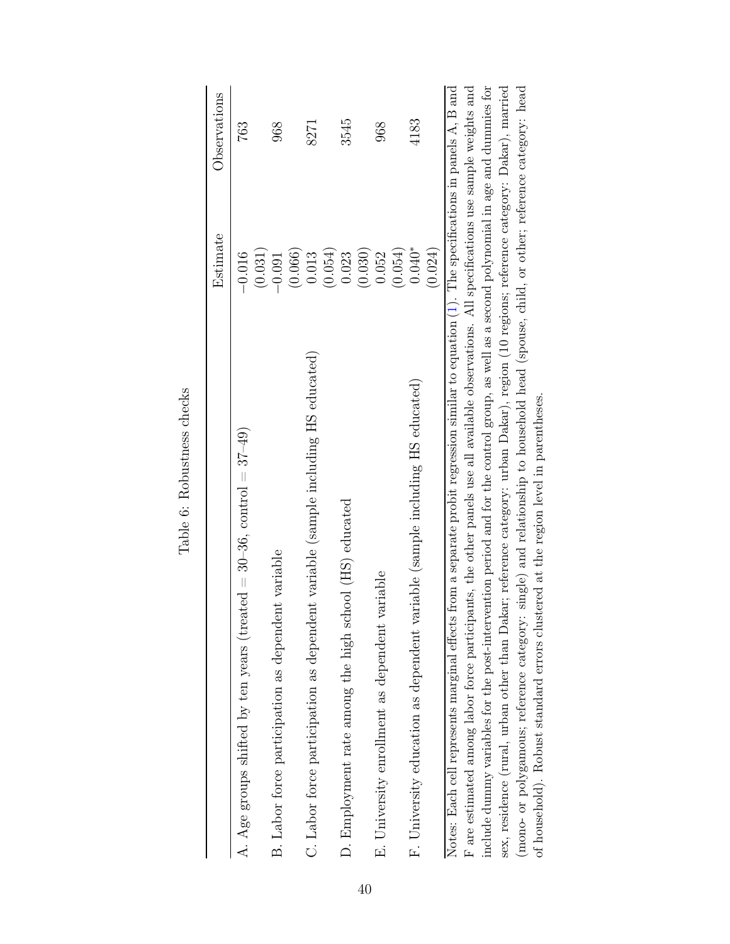<span id="page-42-0"></span>

|                                                                                                                                                                                                                                                                                                                                                                                                                                                                                                                                                                                                                                                                                                                                                                                                                           | Estimate            | Observations |
|---------------------------------------------------------------------------------------------------------------------------------------------------------------------------------------------------------------------------------------------------------------------------------------------------------------------------------------------------------------------------------------------------------------------------------------------------------------------------------------------------------------------------------------------------------------------------------------------------------------------------------------------------------------------------------------------------------------------------------------------------------------------------------------------------------------------------|---------------------|--------------|
| A. Age groups shifted by ten years (treated $=$ 30-36, control $=$ 37-49)                                                                                                                                                                                                                                                                                                                                                                                                                                                                                                                                                                                                                                                                                                                                                 | (0.031)<br>$-0.016$ | 763          |
| B. Labor force participation as dependent variable                                                                                                                                                                                                                                                                                                                                                                                                                                                                                                                                                                                                                                                                                                                                                                        | (0.066)<br>$-0.091$ | 968          |
| C. Labor force participation as dependent variable (sample including HS educated)                                                                                                                                                                                                                                                                                                                                                                                                                                                                                                                                                                                                                                                                                                                                         | (0.054)<br>0.013    | 8271         |
| D. Employment rate among the high school (HS) educated                                                                                                                                                                                                                                                                                                                                                                                                                                                                                                                                                                                                                                                                                                                                                                    | (0.030)<br>0.023    | 3545         |
| E. University enrollment as dependent variable                                                                                                                                                                                                                                                                                                                                                                                                                                                                                                                                                                                                                                                                                                                                                                            | (0.054)<br>0.052    | 968          |
| F. University education as dependent variable (sample including HS educated)                                                                                                                                                                                                                                                                                                                                                                                                                                                                                                                                                                                                                                                                                                                                              | $0.040*$<br>(0.024) | 4183         |
| Notes: Each cell represents marginal effects from a separate probit regression similar to equation $(1)$ . The specifications in panels A, B and<br>F are estimated among labor force participants, the other panels use all available observations. All specifications use sample weights and<br>include dummy variables for the post-intervention period and for the control group, as well as a second polynomial in age and dummies for<br>sex, residence (rural, urban other than Dakar; reference category: urban Dakar), region (10 regions; reference category: Dakar), married<br>(mono- or polygamous; reference category: single) and relationship to household head (spouse, child, or other; reference category: head<br>of household). Robust standard errors clustered at the region level in parentheses. |                     |              |
|                                                                                                                                                                                                                                                                                                                                                                                                                                                                                                                                                                                                                                                                                                                                                                                                                           |                     |              |

Table 6: Robustness checks Table 6: Robustness checks